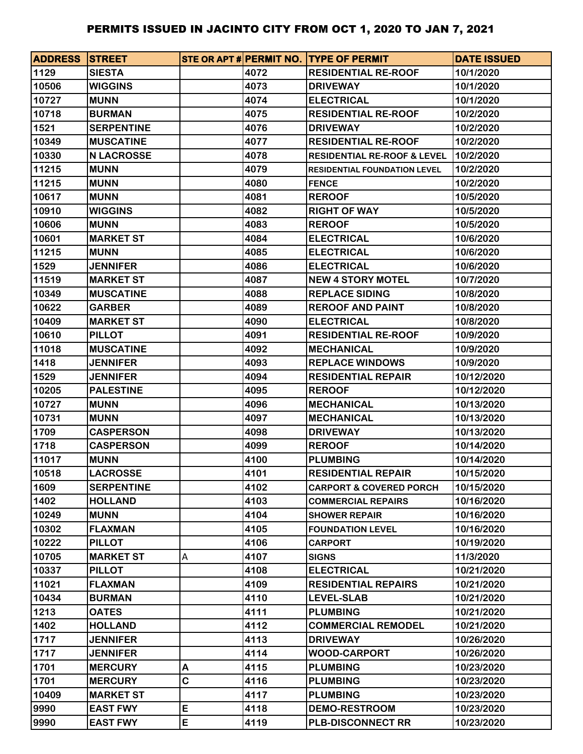| <b>ADDRESS STREET</b> |                   |   |      | STE OR APT # PERMIT NO. TYPE OF PERMIT | <b>DATE ISSUED</b> |
|-----------------------|-------------------|---|------|----------------------------------------|--------------------|
| 1129                  | <b>SIESTA</b>     |   | 4072 | <b>RESIDENTIAL RE-ROOF</b>             | 10/1/2020          |
| 10506                 | <b>WIGGINS</b>    |   | 4073 | <b>DRIVEWAY</b>                        | 10/1/2020          |
| 10727                 | <b>MUNN</b>       |   | 4074 | <b>ELECTRICAL</b>                      | 10/1/2020          |
| 10718                 | <b>BURMAN</b>     |   | 4075 | <b>RESIDENTIAL RE-ROOF</b>             | 10/2/2020          |
| 1521                  | <b>SERPENTINE</b> |   | 4076 | <b>DRIVEWAY</b>                        | 10/2/2020          |
| 10349                 | <b>MUSCATINE</b>  |   | 4077 | <b>RESIDENTIAL RE-ROOF</b>             | 10/2/2020          |
| 10330                 | <b>N LACROSSE</b> |   | 4078 | <b>RESIDENTIAL RE-ROOF &amp; LEVEL</b> | 10/2/2020          |
| 11215                 | <b>MUNN</b>       |   | 4079 | <b>RESIDENTIAL FOUNDATION LEVEL</b>    | 10/2/2020          |
| 11215                 | <b>MUNN</b>       |   | 4080 | <b>FENCE</b>                           | 10/2/2020          |
| 10617                 | <b>MUNN</b>       |   | 4081 | <b>REROOF</b>                          | 10/5/2020          |
| 10910                 | <b>WIGGINS</b>    |   | 4082 | <b>RIGHT OF WAY</b>                    | 10/5/2020          |
| 10606                 | <b>MUNN</b>       |   | 4083 | <b>REROOF</b>                          | 10/5/2020          |
| 10601                 | <b>MARKET ST</b>  |   | 4084 | <b>ELECTRICAL</b>                      | 10/6/2020          |
| 11215                 | <b>MUNN</b>       |   | 4085 | <b>ELECTRICAL</b>                      | 10/6/2020          |
| 1529                  | <b>JENNIFER</b>   |   | 4086 | <b>ELECTRICAL</b>                      | 10/6/2020          |
| 11519                 | <b>MARKET ST</b>  |   | 4087 | <b>NEW 4 STORY MOTEL</b>               | 10/7/2020          |
| 10349                 | <b>MUSCATINE</b>  |   | 4088 | <b>REPLACE SIDING</b>                  | 10/8/2020          |
| 10622                 | <b>GARBER</b>     |   | 4089 | <b>REROOF AND PAINT</b>                | 10/8/2020          |
| 10409                 | <b>MARKET ST</b>  |   | 4090 | <b>ELECTRICAL</b>                      | 10/8/2020          |
| 10610                 | <b>PILLOT</b>     |   | 4091 | <b>RESIDENTIAL RE-ROOF</b>             | 10/9/2020          |
| 11018                 | <b>MUSCATINE</b>  |   | 4092 | <b>MECHANICAL</b>                      | 10/9/2020          |
| 1418                  | <b>JENNIFER</b>   |   | 4093 | <b>REPLACE WINDOWS</b>                 | 10/9/2020          |
| 1529                  | <b>JENNIFER</b>   |   | 4094 | <b>RESIDENTIAL REPAIR</b>              | 10/12/2020         |
| 10205                 | <b>PALESTINE</b>  |   | 4095 | <b>REROOF</b>                          | 10/12/2020         |
| 10727                 | <b>MUNN</b>       |   | 4096 | <b>MECHANICAL</b>                      | 10/13/2020         |
| 10731                 | <b>MUNN</b>       |   | 4097 | <b>MECHANICAL</b>                      | 10/13/2020         |
| 1709                  | <b>CASPERSON</b>  |   | 4098 | <b>DRIVEWAY</b>                        | 10/13/2020         |
| 1718                  | <b>CASPERSON</b>  |   | 4099 | <b>REROOF</b>                          | 10/14/2020         |
| 11017                 | <b>MUNN</b>       |   | 4100 | <b>PLUMBING</b>                        | 10/14/2020         |
| 10518                 | <b>LACROSSE</b>   |   | 4101 | <b>RESIDENTIAL REPAIR</b>              | 10/15/2020         |
| 1609                  | <b>SERPENTINE</b> |   | 4102 | <b>CARPORT &amp; COVERED PORCH</b>     | 10/15/2020         |
| 1402                  | <b>HOLLAND</b>    |   | 4103 | <b>COMMERCIAL REPAIRS</b>              | 10/16/2020         |
| 10249                 | <b>MUNN</b>       |   | 4104 | <b>SHOWER REPAIR</b>                   | 10/16/2020         |
| 10302                 | <b>FLAXMAN</b>    |   | 4105 | <b>FOUNDATION LEVEL</b>                | 10/16/2020         |
| 10222                 | <b>PILLOT</b>     |   | 4106 | <b>CARPORT</b>                         | 10/19/2020         |
| 10705                 | <b>MARKET ST</b>  | Α | 4107 | <b>SIGNS</b>                           | 11/3/2020          |
| 10337                 | <b>PILLOT</b>     |   | 4108 | <b>ELECTRICAL</b>                      | 10/21/2020         |
| 11021                 | <b>FLAXMAN</b>    |   | 4109 | <b>RESIDENTIAL REPAIRS</b>             | 10/21/2020         |
| 10434                 | <b>BURMAN</b>     |   | 4110 | <b>LEVEL-SLAB</b>                      | 10/21/2020         |
| 1213                  | <b>OATES</b>      |   | 4111 | <b>PLUMBING</b>                        | 10/21/2020         |
| 1402                  | <b>HOLLAND</b>    |   | 4112 | <b>COMMERCIAL REMODEL</b>              | 10/21/2020         |
| 1717                  | <b>JENNIFER</b>   |   | 4113 | <b>DRIVEWAY</b>                        | 10/26/2020         |
| 1717                  | <b>JENNIFER</b>   |   | 4114 | <b>WOOD-CARPORT</b>                    | 10/26/2020         |
| 1701                  | <b>MERCURY</b>    | Α | 4115 | <b>PLUMBING</b>                        | 10/23/2020         |
| 1701                  | <b>MERCURY</b>    | C | 4116 | <b>PLUMBING</b>                        | 10/23/2020         |
| 10409                 | <b>MARKET ST</b>  |   | 4117 | <b>PLUMBING</b>                        | 10/23/2020         |
| 9990                  | <b>EAST FWY</b>   | E | 4118 | <b>DEMO-RESTROOM</b>                   | 10/23/2020         |
| 9990                  | <b>EAST FWY</b>   | E | 4119 | <b>PLB-DISCONNECT RR</b>               | 10/23/2020         |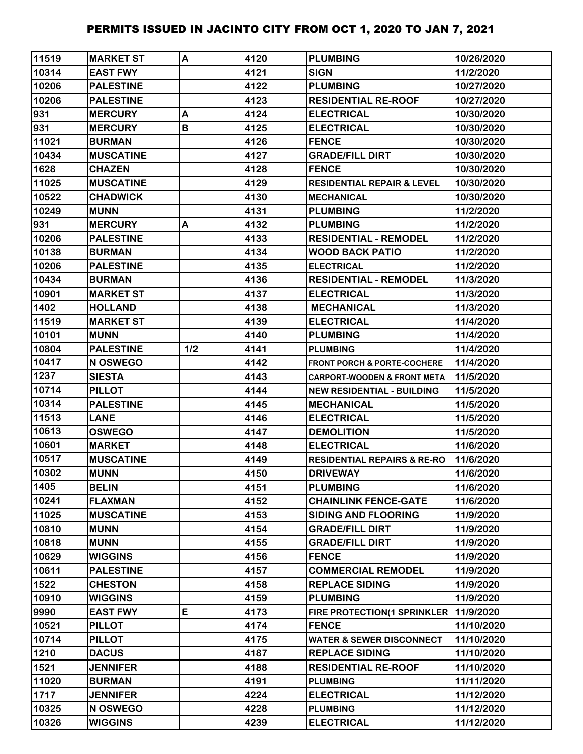| 11519 | <b>MARKET ST</b> | A   | 4120 | <b>PLUMBING</b>                        | 10/26/2020 |
|-------|------------------|-----|------|----------------------------------------|------------|
| 10314 | <b>EAST FWY</b>  |     | 4121 | <b>SIGN</b>                            | 11/2/2020  |
| 10206 | <b>PALESTINE</b> |     | 4122 | <b>PLUMBING</b>                        | 10/27/2020 |
| 10206 | <b>PALESTINE</b> |     | 4123 | <b>RESIDENTIAL RE-ROOF</b>             | 10/27/2020 |
| 931   | <b>MERCURY</b>   | A   | 4124 | <b>ELECTRICAL</b>                      | 10/30/2020 |
| 931   | <b>MERCURY</b>   | B   | 4125 | <b>ELECTRICAL</b>                      | 10/30/2020 |
| 11021 | <b>BURMAN</b>    |     | 4126 | <b>FENCE</b>                           | 10/30/2020 |
| 10434 | <b>MUSCATINE</b> |     | 4127 | <b>GRADE/FILL DIRT</b>                 | 10/30/2020 |
| 1628  | <b>CHAZEN</b>    |     | 4128 | <b>FENCE</b>                           | 10/30/2020 |
| 11025 | <b>MUSCATINE</b> |     | 4129 | <b>RESIDENTIAL REPAIR &amp; LEVEL</b>  | 10/30/2020 |
| 10522 | <b>CHADWICK</b>  |     | 4130 | <b>MECHANICAL</b>                      | 10/30/2020 |
| 10249 | <b>MUNN</b>      |     | 4131 | <b>PLUMBING</b>                        | 11/2/2020  |
| 931   | <b>MERCURY</b>   | A   | 4132 | <b>PLUMBING</b>                        | 11/2/2020  |
| 10206 | <b>PALESTINE</b> |     | 4133 | <b>RESIDENTIAL - REMODEL</b>           | 11/2/2020  |
| 10138 | <b>BURMAN</b>    |     | 4134 | <b>WOOD BACK PATIO</b>                 | 11/2/2020  |
| 10206 | <b>PALESTINE</b> |     | 4135 | <b>ELECTRICAL</b>                      | 11/2/2020  |
| 10434 | <b>BURMAN</b>    |     | 4136 | <b>RESIDENTIAL - REMODEL</b>           | 11/3/2020  |
| 10901 | <b>MARKET ST</b> |     | 4137 | <b>ELECTRICAL</b>                      | 11/3/2020  |
| 1402  | <b>HOLLAND</b>   |     | 4138 | <b>MECHANICAL</b>                      | 11/3/2020  |
| 11519 | <b>MARKET ST</b> |     | 4139 | <b>ELECTRICAL</b>                      | 11/4/2020  |
| 10101 | <b>MUNN</b>      |     | 4140 | <b>PLUMBING</b>                        | 11/4/2020  |
| 10804 | <b>PALESTINE</b> | 1/2 | 4141 | <b>PLUMBING</b>                        | 11/4/2020  |
| 10417 | N OSWEGO         |     | 4142 | <b>FRONT PORCH &amp; PORTE-COCHERE</b> | 11/4/2020  |
| 1237  | <b>SIESTA</b>    |     | 4143 | <b>CARPORT-WOODEN &amp; FRONT META</b> | 11/5/2020  |
| 10714 | <b>PILLOT</b>    |     | 4144 | <b>NEW RESIDENTIAL - BUILDING</b>      | 11/5/2020  |
| 10314 | <b>PALESTINE</b> |     | 4145 | <b>IMECHANICAL</b>                     | 11/5/2020  |
| 11513 | <b>LANE</b>      |     | 4146 | <b>ELECTRICAL</b>                      | 11/5/2020  |
| 10613 | <b>OSWEGO</b>    |     | 4147 | <b>DEMOLITION</b>                      | 11/5/2020  |
| 10601 | <b>MARKET</b>    |     | 4148 | <b>ELECTRICAL</b>                      | 11/6/2020  |
| 10517 | <b>MUSCATINE</b> |     | 4149 | <b>RESIDENTIAL REPAIRS &amp; RE-RO</b> | 11/6/2020  |
| 10302 | <b>MUNN</b>      |     | 4150 | <b>DRIVEWAY</b>                        | 11/6/2020  |
| 1405  | <b>BELIN</b>     |     | 4151 | <b>PLUMBING</b>                        | 11/6/2020  |
| 10241 | <b>FLAXMAN</b>   |     | 4152 | <b>CHAINLINK FENCE-GATE</b>            | 11/6/2020  |
| 11025 | <b>MUSCATINE</b> |     | 4153 | <b>SIDING AND FLOORING</b>             | 11/9/2020  |
| 10810 | <b>MUNN</b>      |     | 4154 | <b>GRADE/FILL DIRT</b>                 | 11/9/2020  |
| 10818 | <b>MUNN</b>      |     | 4155 | <b>GRADE/FILL DIRT</b>                 | 11/9/2020  |
| 10629 | <b>WIGGINS</b>   |     | 4156 | <b>FENCE</b>                           | 11/9/2020  |
| 10611 | <b>PALESTINE</b> |     | 4157 | <b>COMMERCIAL REMODEL</b>              | 11/9/2020  |
| 1522  | <b>CHESTON</b>   |     | 4158 | <b>REPLACE SIDING</b>                  | 11/9/2020  |
| 10910 | <b>WIGGINS</b>   |     | 4159 | <b>PLUMBING</b>                        | 11/9/2020  |
| 9990  | <b>EAST FWY</b>  | E   | 4173 | FIRE PROTECTION(1 SPRINKLER            | 11/9/2020  |
| 10521 | <b>PILLOT</b>    |     | 4174 | <b>FENCE</b>                           | 11/10/2020 |
| 10714 | <b>PILLOT</b>    |     | 4175 | <b>WATER &amp; SEWER DISCONNECT</b>    | 11/10/2020 |
| 1210  | <b>DACUS</b>     |     | 4187 | <b>REPLACE SIDING</b>                  | 11/10/2020 |
| 1521  | <b>JENNIFER</b>  |     | 4188 | <b>RESIDENTIAL RE-ROOF</b>             | 11/10/2020 |
| 11020 | <b>BURMAN</b>    |     | 4191 | <b>PLUMBING</b>                        | 11/11/2020 |
| 1717  | <b>JENNIFER</b>  |     | 4224 | <b>ELECTRICAL</b>                      | 11/12/2020 |
| 10325 | N OSWEGO         |     | 4228 | <b>PLUMBING</b>                        | 11/12/2020 |
| 10326 | <b>WIGGINS</b>   |     | 4239 | <b>ELECTRICAL</b>                      | 11/12/2020 |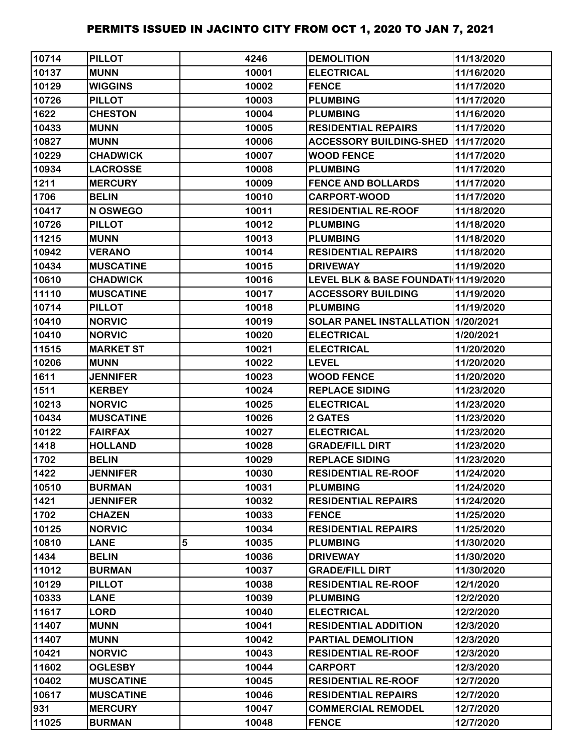| 10714 | <b>PILLOT</b>    |   | 4246  | <b>DEMOLITION</b>                    | 11/13/2020 |
|-------|------------------|---|-------|--------------------------------------|------------|
| 10137 | <b>MUNN</b>      |   | 10001 | <b>ELECTRICAL</b>                    | 11/16/2020 |
| 10129 | <b>WIGGINS</b>   |   | 10002 | <b>FENCE</b>                         | 11/17/2020 |
| 10726 | <b>PILLOT</b>    |   | 10003 | <b>PLUMBING</b>                      | 11/17/2020 |
| 1622  | <b>CHESTON</b>   |   | 10004 | <b>PLUMBING</b>                      | 11/16/2020 |
| 10433 | <b>MUNN</b>      |   | 10005 | <b>RESIDENTIAL REPAIRS</b>           | 11/17/2020 |
| 10827 | <b>MUNN</b>      |   | 10006 | <b>ACCESSORY BUILDING-SHED</b>       | 11/17/2020 |
| 10229 | <b>CHADWICK</b>  |   | 10007 | <b>WOOD FENCE</b>                    | 11/17/2020 |
| 10934 | <b>LACROSSE</b>  |   | 10008 | <b>PLUMBING</b>                      | 11/17/2020 |
| 1211  | <b>MERCURY</b>   |   | 10009 | <b>FENCE AND BOLLARDS</b>            | 11/17/2020 |
| 1706  | <b>BELIN</b>     |   | 10010 | <b>CARPORT-WOOD</b>                  | 11/17/2020 |
| 10417 | N OSWEGO         |   | 10011 | <b>RESIDENTIAL RE-ROOF</b>           | 11/18/2020 |
| 10726 | <b>PILLOT</b>    |   | 10012 | <b>PLUMBING</b>                      | 11/18/2020 |
| 11215 | <b>MUNN</b>      |   | 10013 | <b>PLUMBING</b>                      | 11/18/2020 |
| 10942 | <b>VERANO</b>    |   | 10014 | <b>RESIDENTIAL REPAIRS</b>           | 11/18/2020 |
| 10434 | <b>MUSCATINE</b> |   | 10015 | <b>DRIVEWAY</b>                      | 11/19/2020 |
| 10610 | <b>CHADWICK</b>  |   | 10016 | LEVEL BLK & BASE FOUNDATI 11/19/2020 |            |
| 11110 | <b>MUSCATINE</b> |   | 10017 | <b>ACCESSORY BUILDING</b>            | 11/19/2020 |
| 10714 | <b>PILLOT</b>    |   | 10018 | <b>PLUMBING</b>                      | 11/19/2020 |
| 10410 | <b>NORVIC</b>    |   | 10019 | SOLAR PANEL INSTALLATION 1/20/2021   |            |
| 10410 | <b>NORVIC</b>    |   | 10020 | <b>ELECTRICAL</b>                    | 1/20/2021  |
| 11515 | <b>MARKET ST</b> |   | 10021 | <b>ELECTRICAL</b>                    | 11/20/2020 |
| 10206 | <b>MUNN</b>      |   | 10022 | <b>LEVEL</b>                         | 11/20/2020 |
| 1611  | <b>JENNIFER</b>  |   | 10023 | <b>WOOD FENCE</b>                    | 11/20/2020 |
| 1511  | <b>KERBEY</b>    |   | 10024 | <b>REPLACE SIDING</b>                | 11/23/2020 |
| 10213 | <b>NORVIC</b>    |   | 10025 | <b>ELECTRICAL</b>                    | 11/23/2020 |
| 10434 | <b>MUSCATINE</b> |   | 10026 | <b>2 GATES</b>                       | 11/23/2020 |
| 10122 | <b>FAIRFAX</b>   |   | 10027 | <b>ELECTRICAL</b>                    | 11/23/2020 |
| 1418  | <b>HOLLAND</b>   |   | 10028 | <b>GRADE/FILL DIRT</b>               | 11/23/2020 |
| 1702  | <b>BELIN</b>     |   | 10029 | <b>REPLACE SIDING</b>                | 11/23/2020 |
| 1422  | <b>JENNIFER</b>  |   | 10030 | <b>RESIDENTIAL RE-ROOF</b>           | 11/24/2020 |
| 10510 | <b>BURMAN</b>    |   | 10031 | <b>PLUMBING</b>                      | 11/24/2020 |
| 1421  | <b>JENNIFER</b>  |   | 10032 | <b>RESIDENTIAL REPAIRS</b>           | 11/24/2020 |
| 1702  | <b>CHAZEN</b>    |   | 10033 | <b>FENCE</b>                         | 11/25/2020 |
| 10125 | <b>NORVIC</b>    |   | 10034 | <b>RESIDENTIAL REPAIRS</b>           | 11/25/2020 |
| 10810 | <b>LANE</b>      | 5 | 10035 | <b>PLUMBING</b>                      | 11/30/2020 |
| 1434  | <b>BELIN</b>     |   | 10036 | <b>DRIVEWAY</b>                      | 11/30/2020 |
| 11012 | <b>BURMAN</b>    |   | 10037 | <b>GRADE/FILL DIRT</b>               | 11/30/2020 |
| 10129 | <b>PILLOT</b>    |   | 10038 | <b>RESIDENTIAL RE-ROOF</b>           | 12/1/2020  |
| 10333 | <b>LANE</b>      |   | 10039 | <b>PLUMBING</b>                      | 12/2/2020  |
| 11617 | <b>LORD</b>      |   | 10040 | <b>ELECTRICAL</b>                    | 12/2/2020  |
| 11407 | <b>MUNN</b>      |   | 10041 | <b>RESIDENTIAL ADDITION</b>          | 12/3/2020  |
| 11407 | <b>MUNN</b>      |   | 10042 | PARTIAL DEMOLITION                   | 12/3/2020  |
| 10421 | <b>NORVIC</b>    |   | 10043 | <b>RESIDENTIAL RE-ROOF</b>           | 12/3/2020  |
| 11602 | <b>OGLESBY</b>   |   | 10044 | <b>CARPORT</b>                       | 12/3/2020  |
| 10402 | <b>MUSCATINE</b> |   | 10045 | <b>RESIDENTIAL RE-ROOF</b>           | 12/7/2020  |
| 10617 | <b>MUSCATINE</b> |   | 10046 | <b>RESIDENTIAL REPAIRS</b>           | 12/7/2020  |
| 931   | <b>MERCURY</b>   |   | 10047 | <b>COMMERCIAL REMODEL</b>            | 12/7/2020  |
| 11025 | <b>BURMAN</b>    |   | 10048 | <b>FENCE</b>                         | 12/7/2020  |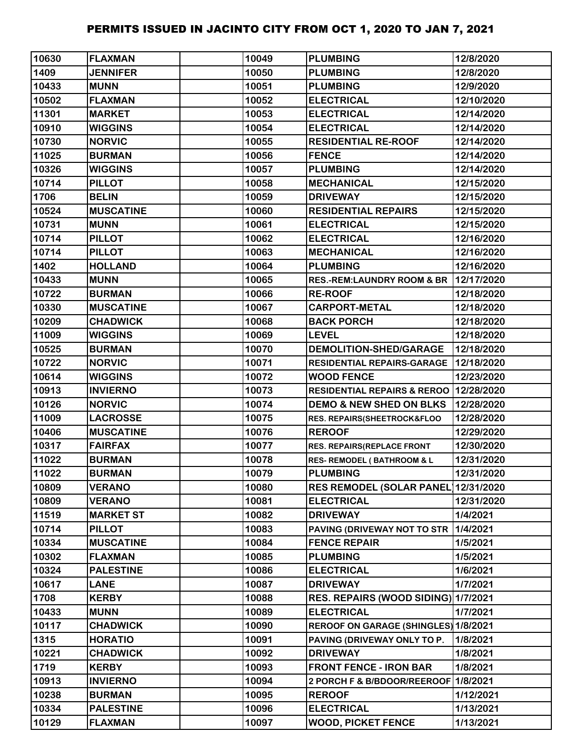| 10630 | <b>FLAXMAN</b>   | 10049 | <b>PLUMBING</b>                          | 12/8/2020  |
|-------|------------------|-------|------------------------------------------|------------|
| 1409  | <b>JENNIFER</b>  | 10050 | <b>PLUMBING</b>                          | 12/8/2020  |
| 10433 | <b>MUNN</b>      | 10051 | <b>PLUMBING</b>                          | 12/9/2020  |
| 10502 | <b>FLAXMAN</b>   | 10052 | <b>ELECTRICAL</b>                        | 12/10/2020 |
| 11301 | <b>MARKET</b>    | 10053 | <b>ELECTRICAL</b>                        | 12/14/2020 |
| 10910 | <b>WIGGINS</b>   | 10054 | <b>ELECTRICAL</b>                        | 12/14/2020 |
| 10730 | <b>NORVIC</b>    | 10055 | <b>RESIDENTIAL RE-ROOF</b>               | 12/14/2020 |
| 11025 | <b>BURMAN</b>    | 10056 | <b>FENCE</b>                             | 12/14/2020 |
| 10326 | <b>WIGGINS</b>   | 10057 | <b>PLUMBING</b>                          | 12/14/2020 |
| 10714 | <b>PILLOT</b>    | 10058 | <b>MECHANICAL</b>                        | 12/15/2020 |
| 1706  | <b>BELIN</b>     | 10059 | <b>DRIVEWAY</b>                          | 12/15/2020 |
| 10524 | <b>MUSCATINE</b> | 10060 | <b>RESIDENTIAL REPAIRS</b>               | 12/15/2020 |
| 10731 | <b>MUNN</b>      | 10061 | <b>ELECTRICAL</b>                        | 12/15/2020 |
| 10714 | <b>PILLOT</b>    | 10062 | <b>ELECTRICAL</b>                        | 12/16/2020 |
| 10714 | <b>PILLOT</b>    | 10063 | <b>MECHANICAL</b>                        | 12/16/2020 |
| 1402  | <b>HOLLAND</b>   | 10064 | <b>PLUMBING</b>                          | 12/16/2020 |
| 10433 | <b>MUNN</b>      | 10065 | <b>RES.-REM:LAUNDRY ROOM &amp; BR</b>    | 12/17/2020 |
| 10722 | <b>BURMAN</b>    | 10066 | <b>RE-ROOF</b>                           | 12/18/2020 |
| 10330 | <b>MUSCATINE</b> | 10067 | <b>CARPORT-METAL</b>                     | 12/18/2020 |
| 10209 | <b>CHADWICK</b>  | 10068 | <b>BACK PORCH</b>                        | 12/18/2020 |
| 11009 | <b>WIGGINS</b>   | 10069 | <b>LEVEL</b>                             | 12/18/2020 |
| 10525 | <b>BURMAN</b>    | 10070 | <b>DEMOLITION-SHED/GARAGE</b>            | 12/18/2020 |
| 10722 | <b>NORVIC</b>    | 10071 | <b>RESIDENTIAL REPAIRS-GARAGE</b>        | 12/18/2020 |
| 10614 | <b>WIGGINS</b>   | 10072 | <b>WOOD FENCE</b>                        | 12/23/2020 |
| 10913 | <b>INVIERNO</b>  | 10073 | RESIDENTIAL REPAIRS & REROO   12/28/2020 |            |
| 10126 | <b>NORVIC</b>    | 10074 | <b>DEMO &amp; NEW SHED ON BLKS</b>       | 12/28/2020 |
| 11009 | <b>LACROSSE</b>  | 10075 | RES. REPAIRS(SHEETROCK&FLOO              | 12/28/2020 |
| 10406 | <b>MUSCATINE</b> | 10076 | <b>REROOF</b>                            | 12/29/2020 |
| 10317 | <b>FAIRFAX</b>   | 10077 | RES. REPAIRS(REPLACE FRONT               | 12/30/2020 |
| 11022 | <b>BURMAN</b>    | 10078 | <b>RES- REMODEL (BATHROOM &amp; L</b>    | 12/31/2020 |
| 11022 | <b>BURMAN</b>    | 10079 | <b>PLUMBING</b>                          | 12/31/2020 |
| 10809 | <b>VERANO</b>    | 10080 | <b>RES REMODEL (SOLAR PANEL)</b>         | 12/31/2020 |
| 10809 | <b>VERANO</b>    | 10081 | <b>ELECTRICAL</b>                        | 12/31/2020 |
| 11519 | <b>MARKET ST</b> | 10082 | <b>DRIVEWAY</b>                          | 1/4/2021   |
| 10714 | <b>PILLOT</b>    | 10083 | PAVING (DRIVEWAY NOT TO STR              | 1/4/2021   |
| 10334 | <b>MUSCATINE</b> | 10084 | <b>FENCE REPAIR</b>                      | 1/5/2021   |
| 10302 | <b>FLAXMAN</b>   | 10085 | <b>PLUMBING</b>                          | 1/5/2021   |
| 10324 | <b>PALESTINE</b> | 10086 | <b>ELECTRICAL</b>                        | 1/6/2021   |
| 10617 | <b>LANE</b>      | 10087 | <b>DRIVEWAY</b>                          | 1/7/2021   |
| 1708  | <b>KERBY</b>     | 10088 | RES. REPAIRS (WOOD SIDING) 1/7/2021      |            |
| 10433 | <b>MUNN</b>      | 10089 | <b>ELECTRICAL</b>                        | 1/7/2021   |
| 10117 | <b>CHADWICK</b>  | 10090 | REROOF ON GARAGE (SHINGLES) 1/8/2021     |            |
| 1315  | <b>HORATIO</b>   | 10091 | PAVING (DRIVEWAY ONLY TO P.              | 1/8/2021   |
| 10221 | <b>CHADWICK</b>  | 10092 | <b>DRIVEWAY</b>                          | 1/8/2021   |
| 1719  | <b>KERBY</b>     | 10093 | <b>FRONT FENCE - IRON BAR</b>            | 1/8/2021   |
| 10913 | <b>INVIERNO</b>  | 10094 | 2 PORCH F & B/BDOOR/REEROOF 1/8/2021     |            |
| 10238 | <b>BURMAN</b>    | 10095 | <b>REROOF</b>                            | 1/12/2021  |
| 10334 | <b>PALESTINE</b> | 10096 | <b>ELECTRICAL</b>                        | 1/13/2021  |
| 10129 | <b>FLAXMAN</b>   | 10097 | <b>WOOD, PICKET FENCE</b>                | 1/13/2021  |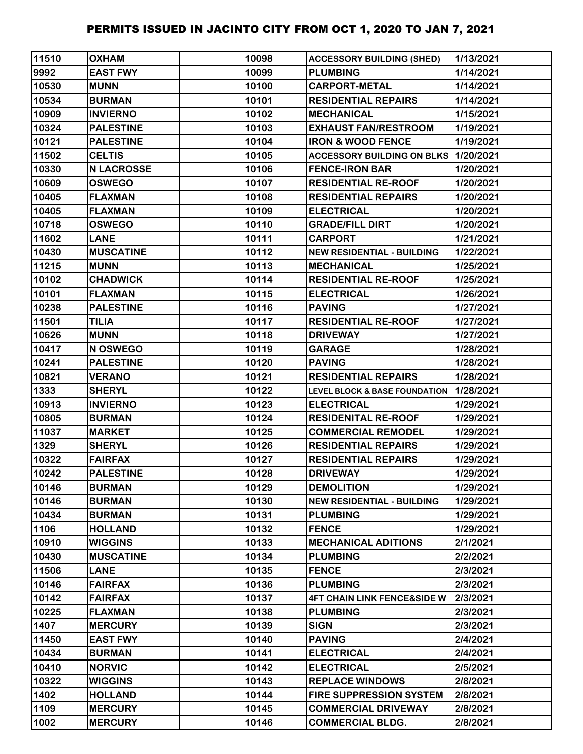| 11510 | <b>OXHAM</b>      | 10098 | <b>ACCESSORY BUILDING (SHED)</b>             | 1/13/2021 |
|-------|-------------------|-------|----------------------------------------------|-----------|
| 9992  | <b>EAST FWY</b>   | 10099 | <b>PLUMBING</b>                              | 1/14/2021 |
| 10530 | <b>MUNN</b>       | 10100 | <b>CARPORT-METAL</b>                         | 1/14/2021 |
| 10534 | <b>BURMAN</b>     | 10101 | <b>RESIDENTIAL REPAIRS</b>                   | 1/14/2021 |
| 10909 | <b>INVIERNO</b>   | 10102 | <b>MECHANICAL</b>                            | 1/15/2021 |
| 10324 | <b>PALESTINE</b>  | 10103 | <b>EXHAUST FAN/RESTROOM</b>                  | 1/19/2021 |
| 10121 | <b>PALESTINE</b>  | 10104 | <b>IRON &amp; WOOD FENCE</b>                 | 1/19/2021 |
| 11502 | <b>CELTIS</b>     | 10105 | <b>ACCESSORY BUILDING ON BLKS 11/20/2021</b> |           |
| 10330 | <b>N LACROSSE</b> | 10106 | <b>FENCE-IRON BAR</b>                        | 1/20/2021 |
| 10609 | <b>OSWEGO</b>     | 10107 | <b>RESIDENTIAL RE-ROOF</b>                   | 1/20/2021 |
| 10405 | <b>FLAXMAN</b>    | 10108 | <b>RESIDENTIAL REPAIRS</b>                   | 1/20/2021 |
| 10405 | <b>FLAXMAN</b>    | 10109 | <b>ELECTRICAL</b>                            | 1/20/2021 |
| 10718 | <b>OSWEGO</b>     | 10110 | <b>GRADE/FILL DIRT</b>                       | 1/20/2021 |
| 11602 | <b>LANE</b>       | 10111 | <b>CARPORT</b>                               | 1/21/2021 |
| 10430 | <b>MUSCATINE</b>  | 10112 | <b>NEW RESIDENTIAL - BUILDING</b>            | 1/22/2021 |
| 11215 | <b>MUNN</b>       | 10113 | <b>MECHANICAL</b>                            | 1/25/2021 |
| 10102 | <b>CHADWICK</b>   | 10114 | <b>RESIDENTIAL RE-ROOF</b>                   | 1/25/2021 |
| 10101 | <b>FLAXMAN</b>    | 10115 | <b>ELECTRICAL</b>                            | 1/26/2021 |
| 10238 | <b>PALESTINE</b>  | 10116 | <b>PAVING</b>                                | 1/27/2021 |
| 11501 | <b>TILIA</b>      | 10117 | <b>RESIDENTIAL RE-ROOF</b>                   | 1/27/2021 |
| 10626 | <b>MUNN</b>       | 10118 | <b>DRIVEWAY</b>                              | 1/27/2021 |
| 10417 | N OSWEGO          | 10119 | <b>GARAGE</b>                                | 1/28/2021 |
| 10241 | <b>PALESTINE</b>  | 10120 | <b>PAVING</b>                                | 1/28/2021 |
| 10821 | <b>VERANO</b>     | 10121 | <b>RESIDENTIAL REPAIRS</b>                   | 1/28/2021 |
| 1333  | <b>SHERYL</b>     | 10122 | LEVEL BLOCK & BASE FOUNDATION 1/28/2021      |           |
| 10913 | <b>INVIERNO</b>   | 10123 | <b>ELECTRICAL</b>                            | 1/29/2021 |
| 10805 | <b>BURMAN</b>     | 10124 | <b>RESIDENITAL RE-ROOF</b>                   | 1/29/2021 |
| 11037 | <b>MARKET</b>     | 10125 | <b>COMMERCIAL REMODEL</b>                    | 1/29/2021 |
| 1329  | <b>SHERYL</b>     | 10126 | <b>RESIDENTIAL REPAIRS</b>                   | 1/29/2021 |
| 10322 | <b>FAIRFAX</b>    | 10127 | <b>RESIDENTIAL REPAIRS</b>                   | 1/29/2021 |
| 10242 | <b>PALESTINE</b>  | 10128 | <b>DRIVEWAY</b>                              | 1/29/2021 |
| 10146 | <b>BURMAN</b>     | 10129 | <b>DEMOLITION</b>                            | 1/29/2021 |
| 10146 | <b>BURMAN</b>     | 10130 | <b>NEW RESIDENTIAL - BUILDING</b>            | 1/29/2021 |
| 10434 | <b>BURMAN</b>     | 10131 | <b>PLUMBING</b>                              | 1/29/2021 |
| 1106  | <b>HOLLAND</b>    | 10132 | <b>FENCE</b>                                 | 1/29/2021 |
| 10910 | <b>WIGGINS</b>    | 10133 | <b>MECHANICAL ADITIONS</b>                   | 2/1/2021  |
| 10430 | <b>MUSCATINE</b>  | 10134 | <b>PLUMBING</b>                              | 2/2/2021  |
| 11506 | <b>LANE</b>       | 10135 | <b>FENCE</b>                                 | 2/3/2021  |
| 10146 | <b>FAIRFAX</b>    | 10136 | <b>PLUMBING</b>                              | 2/3/2021  |
| 10142 | <b>FAIRFAX</b>    | 10137 | <b>4FT CHAIN LINK FENCE&amp;SIDE W</b>       | 2/3/2021  |
| 10225 | <b>FLAXMAN</b>    | 10138 | <b>PLUMBING</b>                              | 2/3/2021  |
| 1407  | <b>MERCURY</b>    | 10139 | <b>SIGN</b>                                  | 2/3/2021  |
| 11450 | <b>EAST FWY</b>   | 10140 | <b>PAVING</b>                                | 2/4/2021  |
| 10434 | <b>BURMAN</b>     | 10141 | <b>ELECTRICAL</b>                            | 2/4/2021  |
| 10410 | <b>NORVIC</b>     | 10142 | <b>ELECTRICAL</b>                            | 2/5/2021  |
| 10322 | <b>WIGGINS</b>    | 10143 | <b>REPLACE WINDOWS</b>                       | 2/8/2021  |
| 1402  | <b>HOLLAND</b>    | 10144 | <b>FIRE SUPPRESSION SYSTEM</b>               | 2/8/2021  |
| 1109  | <b>MERCURY</b>    | 10145 | <b>COMMERCIAL DRIVEWAY</b>                   | 2/8/2021  |
| 1002  | <b>MERCURY</b>    | 10146 | <b>COMMERCIAL BLDG.</b>                      | 2/8/2021  |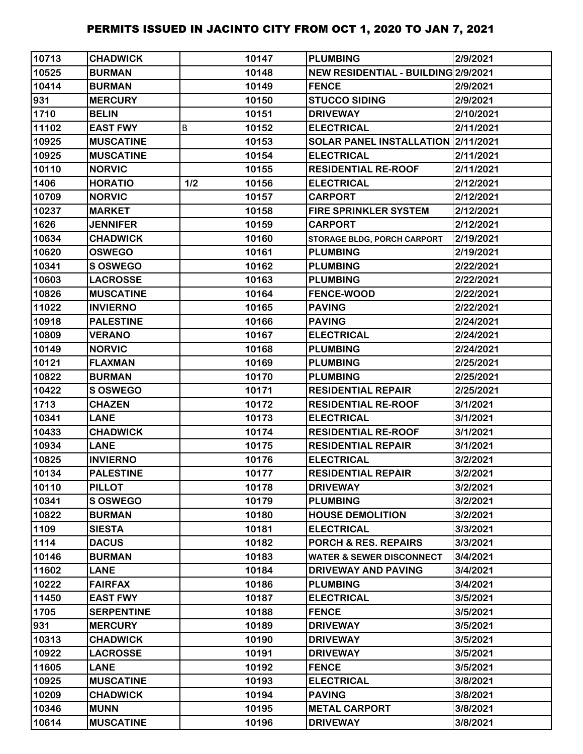| 10713 | <b>CHADWICK</b>   |     | 10147 | <b>PLUMBING</b>                     | 2/9/2021  |
|-------|-------------------|-----|-------|-------------------------------------|-----------|
| 10525 | <b>BURMAN</b>     |     | 10148 | NEW RESIDENTIAL - BUILDING 2/9/2021 |           |
| 10414 | <b>BURMAN</b>     |     | 10149 | <b>FENCE</b>                        | 2/9/2021  |
| 931   | <b>MERCURY</b>    |     | 10150 | <b>STUCCO SIDING</b>                | 2/9/2021  |
| 1710  | <b>BELIN</b>      |     | 10151 | <b>DRIVEWAY</b>                     | 2/10/2021 |
| 11102 | <b>EAST FWY</b>   | B   | 10152 | <b>ELECTRICAL</b>                   | 2/11/2021 |
| 10925 | <b>MUSCATINE</b>  |     | 10153 | SOLAR PANEL INSTALLATION 2/11/2021  |           |
| 10925 | <b>MUSCATINE</b>  |     | 10154 | <b>ELECTRICAL</b>                   | 2/11/2021 |
| 10110 | <b>NORVIC</b>     |     | 10155 | <b>RESIDENTIAL RE-ROOF</b>          | 2/11/2021 |
| 1406  | <b>HORATIO</b>    | 1/2 | 10156 | <b>ELECTRICAL</b>                   | 2/12/2021 |
| 10709 | <b>NORVIC</b>     |     | 10157 | <b>CARPORT</b>                      | 2/12/2021 |
| 10237 | <b>MARKET</b>     |     | 10158 | <b>FIRE SPRINKLER SYSTEM</b>        | 2/12/2021 |
| 1626  | <b>JENNIFER</b>   |     | 10159 | <b>CARPORT</b>                      | 2/12/2021 |
| 10634 | <b>CHADWICK</b>   |     | 10160 | STORAGE BLDG, PORCH CARPORT         | 2/19/2021 |
| 10620 | <b>OSWEGO</b>     |     | 10161 | <b>PLUMBING</b>                     | 2/19/2021 |
| 10341 | <b>S OSWEGO</b>   |     | 10162 | <b>PLUMBING</b>                     | 2/22/2021 |
| 10603 | <b>LACROSSE</b>   |     | 10163 | <b>PLUMBING</b>                     | 2/22/2021 |
| 10826 | <b>MUSCATINE</b>  |     | 10164 | <b>FENCE-WOOD</b>                   | 2/22/2021 |
| 11022 | <b>INVIERNO</b>   |     | 10165 | <b>PAVING</b>                       | 2/22/2021 |
| 10918 | <b>PALESTINE</b>  |     | 10166 | <b>PAVING</b>                       | 2/24/2021 |
| 10809 | <b>VERANO</b>     |     | 10167 | <b>ELECTRICAL</b>                   | 2/24/2021 |
| 10149 | <b>NORVIC</b>     |     | 10168 | <b>PLUMBING</b>                     | 2/24/2021 |
| 10121 | <b>FLAXMAN</b>    |     | 10169 | <b>PLUMBING</b>                     | 2/25/2021 |
| 10822 | <b>BURMAN</b>     |     | 10170 | <b>PLUMBING</b>                     | 2/25/2021 |
| 10422 | <b>S OSWEGO</b>   |     | 10171 | <b>RESIDENTIAL REPAIR</b>           | 2/25/2021 |
| 1713  | <b>CHAZEN</b>     |     | 10172 | <b>RESIDENTIAL RE-ROOF</b>          | 3/1/2021  |
| 10341 | <b>LANE</b>       |     | 10173 | <b>ELECTRICAL</b>                   | 3/1/2021  |
| 10433 | <b>CHADWICK</b>   |     | 10174 | <b>RESIDENTIAL RE-ROOF</b>          | 3/1/2021  |
| 10934 | <b>LANE</b>       |     | 10175 | <b>RESIDENTIAL REPAIR</b>           | 3/1/2021  |
| 10825 | <b>INVIERNO</b>   |     | 10176 | <b>ELECTRICAL</b>                   | 3/2/2021  |
| 10134 | <b>PALESTINE</b>  |     | 10177 | <b>RESIDENTIAL REPAIR</b>           | 3/2/2021  |
| 10110 | <b>PILLOT</b>     |     | 10178 | <b>DRIVEWAY</b>                     | 3/2/2021  |
| 10341 | <b>S OSWEGO</b>   |     | 10179 | <b>PLUMBING</b>                     | 3/2/2021  |
| 10822 | <b>BURMAN</b>     |     | 10180 | <b>HOUSE DEMOLITION</b>             | 3/2/2021  |
| 1109  | <b>SIESTA</b>     |     | 10181 | <b>ELECTRICAL</b>                   | 3/3/2021  |
| 1114  | <b>DACUS</b>      |     | 10182 | <b>PORCH &amp; RES. REPAIRS</b>     | 3/3/2021  |
| 10146 | <b>BURMAN</b>     |     | 10183 | <b>WATER &amp; SEWER DISCONNECT</b> | 3/4/2021  |
| 11602 | <b>LANE</b>       |     | 10184 | <b>DRIVEWAY AND PAVING</b>          | 3/4/2021  |
| 10222 | <b>FAIRFAX</b>    |     | 10186 | <b>PLUMBING</b>                     | 3/4/2021  |
| 11450 | <b>EAST FWY</b>   |     | 10187 | <b>ELECTRICAL</b>                   | 3/5/2021  |
| 1705  | <b>SERPENTINE</b> |     | 10188 | <b>FENCE</b>                        | 3/5/2021  |
| 931   | <b>MERCURY</b>    |     | 10189 | <b>DRIVEWAY</b>                     | 3/5/2021  |
| 10313 | <b>CHADWICK</b>   |     | 10190 | <b>DRIVEWAY</b>                     | 3/5/2021  |
| 10922 | <b>LACROSSE</b>   |     | 10191 | <b>DRIVEWAY</b>                     | 3/5/2021  |
| 11605 | <b>LANE</b>       |     | 10192 | <b>FENCE</b>                        | 3/5/2021  |
| 10925 | <b>MUSCATINE</b>  |     | 10193 | <b>ELECTRICAL</b>                   | 3/8/2021  |
| 10209 | <b>CHADWICK</b>   |     | 10194 | <b>PAVING</b>                       | 3/8/2021  |
| 10346 | <b>MUNN</b>       |     | 10195 | <b>METAL CARPORT</b>                | 3/8/2021  |
| 10614 | <b>MUSCATINE</b>  |     | 10196 | <b>DRIVEWAY</b>                     | 3/8/2021  |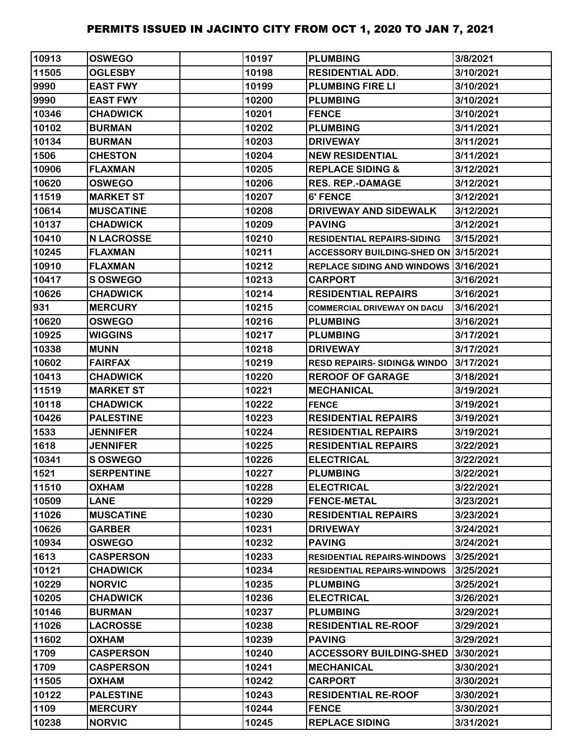| 10913 | <b>OSWEGO</b>     | 10197 | <b>PLUMBING</b>                        | 3/8/2021  |
|-------|-------------------|-------|----------------------------------------|-----------|
| 11505 | <b>OGLESBY</b>    | 10198 | <b>RESIDENTIAL ADD.</b>                | 3/10/2021 |
| 9990  | <b>EAST FWY</b>   | 10199 | <b>PLUMBING FIRE LI</b>                | 3/10/2021 |
| 9990  | <b>EAST FWY</b>   | 10200 | <b>PLUMBING</b>                        | 3/10/2021 |
| 10346 | <b>CHADWICK</b>   | 10201 | <b>FENCE</b>                           | 3/10/2021 |
| 10102 | <b>BURMAN</b>     | 10202 | <b>PLUMBING</b>                        | 3/11/2021 |
| 10134 | <b>BURMAN</b>     | 10203 | <b>DRIVEWAY</b>                        | 3/11/2021 |
| 1506  | <b>CHESTON</b>    | 10204 | <b>NEW RESIDENTIAL</b>                 | 3/11/2021 |
| 10906 | <b>FLAXMAN</b>    | 10205 | <b>REPLACE SIDING &amp;</b>            | 3/12/2021 |
| 10620 | <b>OSWEGO</b>     | 10206 | <b>RES. REP.-DAMAGE</b>                | 3/12/2021 |
| 11519 | <b>MARKET ST</b>  | 10207 | <b>6' FENCE</b>                        | 3/12/2021 |
| 10614 | <b>MUSCATINE</b>  | 10208 | DRIVEWAY AND SIDEWALK                  | 3/12/2021 |
| 10137 | <b>CHADWICK</b>   | 10209 | <b>PAVING</b>                          | 3/12/2021 |
| 10410 | <b>N LACROSSE</b> | 10210 | <b>RESIDENTIAL REPAIRS-SIDING</b>      | 3/15/2021 |
| 10245 | <b>FLAXMAN</b>    | 10211 | ACCESSORY BUILDING-SHED ON 3/15/2021   |           |
| 10910 | <b>FLAXMAN</b>    | 10212 | REPLACE SIDING AND WINDOWS 3/16/2021   |           |
| 10417 | S OSWEGO          | 10213 | <b>CARPORT</b>                         | 3/16/2021 |
| 10626 | <b>CHADWICK</b>   | 10214 | <b>RESIDENTIAL REPAIRS</b>             | 3/16/2021 |
| 931   | <b>MERCURY</b>    | 10215 | <b>COMMERCIAL DRIVEWAY ON DACU</b>     | 3/16/2021 |
| 10620 | <b>OSWEGO</b>     | 10216 | <b>PLUMBING</b>                        | 3/16/2021 |
| 10925 | <b>WIGGINS</b>    | 10217 | <b>PLUMBING</b>                        | 3/17/2021 |
| 10338 | <b>MUNN</b>       | 10218 | <b>DRIVEWAY</b>                        | 3/17/2021 |
| 10602 | <b>FAIRFAX</b>    | 10219 | <b>RESD REPAIRS- SIDING&amp; WINDO</b> | 3/17/2021 |
| 10413 | <b>CHADWICK</b>   | 10220 | <b>REROOF OF GARAGE</b>                | 3/18/2021 |
| 11519 | <b>MARKET ST</b>  | 10221 | <b>MECHANICAL</b>                      | 3/19/2021 |
| 10118 | <b>CHADWICK</b>   | 10222 | <b>FENCE</b>                           | 3/19/2021 |
| 10426 | <b>PALESTINE</b>  | 10223 | <b>RESIDENTIAL REPAIRS</b>             | 3/19/2021 |
| 1533  | <b>JENNIFER</b>   | 10224 | <b>RESIDENTIAL REPAIRS</b>             | 3/19/2021 |
| 1618  | <b>JENNIFER</b>   | 10225 | <b>RESIDENTIAL REPAIRS</b>             | 3/22/2021 |
| 10341 | <b>S OSWEGO</b>   | 10226 | <b>ELECTRICAL</b>                      | 3/22/2021 |
| 1521  | <b>SERPENTINE</b> | 10227 | <b>PLUMBING</b>                        | 3/22/2021 |
| 11510 | <b>OXHAM</b>      | 10228 | <b>ELECTRICAL</b>                      | 3/22/2021 |
| 10509 | <b>LANE</b>       | 10229 | <b>FENCE-METAL</b>                     | 3/23/2021 |
| 11026 | <b>MUSCATINE</b>  | 10230 | <b>RESIDENTIAL REPAIRS</b>             | 3/23/2021 |
| 10626 | <b>GARBER</b>     | 10231 | <b>DRIVEWAY</b>                        | 3/24/2021 |
| 10934 | <b>OSWEGO</b>     | 10232 | <b>PAVING</b>                          | 3/24/2021 |
| 1613  | <b>CASPERSON</b>  | 10233 | <b>RESIDENTIAL REPAIRS-WINDOWS</b>     | 3/25/2021 |
| 10121 | <b>CHADWICK</b>   | 10234 | <b>RESIDENTIAL REPAIRS-WINDOWS</b>     | 3/25/2021 |
| 10229 | <b>NORVIC</b>     | 10235 | <b>PLUMBING</b>                        | 3/25/2021 |
| 10205 | <b>CHADWICK</b>   | 10236 | <b>ELECTRICAL</b>                      | 3/26/2021 |
| 10146 | <b>BURMAN</b>     | 10237 | <b>PLUMBING</b>                        | 3/29/2021 |
| 11026 | <b>LACROSSE</b>   | 10238 | <b>RESIDENTIAL RE-ROOF</b>             | 3/29/2021 |
| 11602 | <b>OXHAM</b>      | 10239 | <b>PAVING</b>                          | 3/29/2021 |
| 1709  | <b>CASPERSON</b>  | 10240 | <b>ACCESSORY BUILDING-SHED</b>         | 3/30/2021 |
| 1709  | <b>CASPERSON</b>  | 10241 | <b>MECHANICAL</b>                      | 3/30/2021 |
| 11505 | <b>OXHAM</b>      | 10242 | <b>CARPORT</b>                         | 3/30/2021 |
| 10122 | <b>PALESTINE</b>  | 10243 | <b>RESIDENTIAL RE-ROOF</b>             | 3/30/2021 |
| 1109  | <b>MERCURY</b>    | 10244 | <b>FENCE</b>                           | 3/30/2021 |
| 10238 | <b>NORVIC</b>     | 10245 | <b>REPLACE SIDING</b>                  | 3/31/2021 |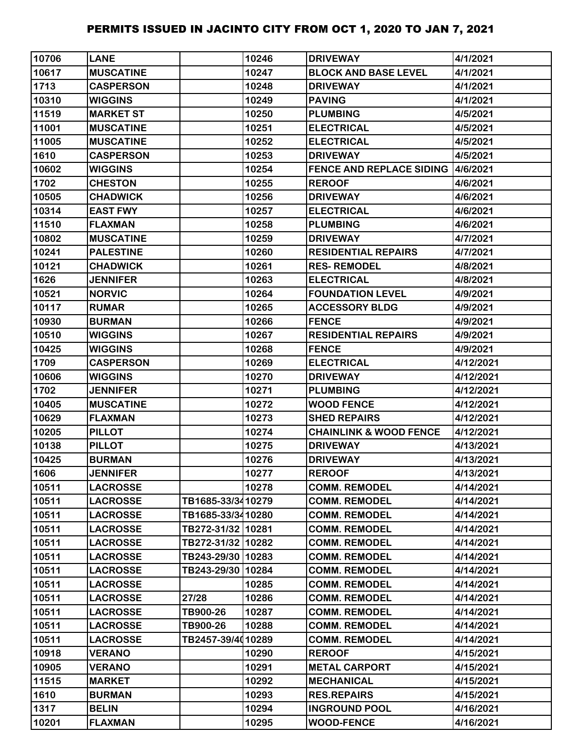| 10706 | <b>LANE</b>      |                   | 10246 | <b>DRIVEWAY</b>                           | 4/1/2021  |
|-------|------------------|-------------------|-------|-------------------------------------------|-----------|
| 10617 | <b>MUSCATINE</b> |                   | 10247 | <b>BLOCK AND BASE LEVEL</b>               | 4/1/2021  |
| 1713  | <b>CASPERSON</b> |                   | 10248 | <b>DRIVEWAY</b>                           | 4/1/2021  |
| 10310 | <b>WIGGINS</b>   |                   | 10249 | <b>PAVING</b>                             | 4/1/2021  |
| 11519 | <b>MARKET ST</b> |                   | 10250 | <b>PLUMBING</b>                           | 4/5/2021  |
| 11001 | <b>MUSCATINE</b> |                   | 10251 | <b>ELECTRICAL</b>                         | 4/5/2021  |
| 11005 | <b>MUSCATINE</b> |                   | 10252 | <b>ELECTRICAL</b>                         | 4/5/2021  |
| 1610  | <b>CASPERSON</b> |                   | 10253 | <b>DRIVEWAY</b>                           | 4/5/2021  |
| 10602 | <b>WIGGINS</b>   |                   | 10254 | <b>FENCE AND REPLACE SIDING 14/6/2021</b> |           |
| 1702  | <b>CHESTON</b>   |                   | 10255 | <b>REROOF</b>                             | 4/6/2021  |
| 10505 | <b>CHADWICK</b>  |                   | 10256 | <b>DRIVEWAY</b>                           | 4/6/2021  |
| 10314 | <b>EAST FWY</b>  |                   | 10257 | <b>ELECTRICAL</b>                         | 4/6/2021  |
| 11510 | <b>FLAXMAN</b>   |                   | 10258 | <b>PLUMBING</b>                           | 4/6/2021  |
| 10802 | <b>MUSCATINE</b> |                   | 10259 | <b>DRIVEWAY</b>                           | 4/7/2021  |
| 10241 | <b>PALESTINE</b> |                   | 10260 | <b>RESIDENTIAL REPAIRS</b>                | 4/7/2021  |
| 10121 | <b>CHADWICK</b>  |                   | 10261 | <b>RES-REMODEL</b>                        | 4/8/2021  |
| 1626  | <b>JENNIFER</b>  |                   | 10263 | <b>ELECTRICAL</b>                         | 4/8/2021  |
| 10521 | <b>NORVIC</b>    |                   | 10264 | <b>FOUNDATION LEVEL</b>                   | 4/9/2021  |
| 10117 | <b>RUMAR</b>     |                   | 10265 | <b>ACCESSORY BLDG</b>                     | 4/9/2021  |
| 10930 | <b>BURMAN</b>    |                   | 10266 | <b>FENCE</b>                              | 4/9/2021  |
| 10510 | <b>WIGGINS</b>   |                   | 10267 | <b>RESIDENTIAL REPAIRS</b>                | 4/9/2021  |
| 10425 | <b>WIGGINS</b>   |                   | 10268 | <b>FENCE</b>                              | 4/9/2021  |
| 1709  | <b>CASPERSON</b> |                   | 10269 | <b>ELECTRICAL</b>                         | 4/12/2021 |
| 10606 | <b>WIGGINS</b>   |                   | 10270 | <b>DRIVEWAY</b>                           | 4/12/2021 |
| 1702  | <b>JENNIFER</b>  |                   | 10271 | <b>PLUMBING</b>                           | 4/12/2021 |
| 10405 | <b>MUSCATINE</b> |                   | 10272 | <b>WOOD FENCE</b>                         | 4/12/2021 |
| 10629 | <b>FLAXMAN</b>   |                   | 10273 | <b>SHED REPAIRS</b>                       | 4/12/2021 |
| 10205 | <b>PILLOT</b>    |                   | 10274 | <b>CHAINLINK &amp; WOOD FENCE</b>         | 4/12/2021 |
| 10138 | <b>PILLOT</b>    |                   | 10275 | <b>DRIVEWAY</b>                           | 4/13/2021 |
| 10425 | <b>BURMAN</b>    |                   | 10276 | <b>DRIVEWAY</b>                           | 4/13/2021 |
| 1606  | <b>JENNIFER</b>  |                   | 10277 | <b>REROOF</b>                             | 4/13/2021 |
| 10511 | <b>LACROSSE</b>  |                   | 10278 | <b>COMM. REMODEL</b>                      | 4/14/2021 |
| 10511 | <b>LACROSSE</b>  | TB1685-33/3410279 |       | <b>COMM. REMODEL</b>                      | 4/14/2021 |
| 10511 | <b>LACROSSE</b>  | TB1685-33/3410280 |       | <b>COMM. REMODEL</b>                      | 4/14/2021 |
| 10511 | <b>LACROSSE</b>  | TB272-31/32 10281 |       | <b>COMM. REMODEL</b>                      | 4/14/2021 |
| 10511 | <b>LACROSSE</b>  | TB272-31/32 10282 |       | <b>COMM. REMODEL</b>                      | 4/14/2021 |
| 10511 | <b>LACROSSE</b>  | TB243-29/30 10283 |       | <b>COMM. REMODEL</b>                      | 4/14/2021 |
| 10511 | <b>LACROSSE</b>  | TB243-29/30 10284 |       | <b>COMM. REMODEL</b>                      | 4/14/2021 |
| 10511 | <b>LACROSSE</b>  |                   | 10285 | <b>COMM. REMODEL</b>                      | 4/14/2021 |
| 10511 | <b>LACROSSE</b>  | 27/28             | 10286 | <b>COMM. REMODEL</b>                      | 4/14/2021 |
| 10511 | <b>LACROSSE</b>  | TB900-26          | 10287 | <b>COMM. REMODEL</b>                      | 4/14/2021 |
| 10511 | <b>LACROSSE</b>  | TB900-26          | 10288 | <b>COMM. REMODEL</b>                      | 4/14/2021 |
| 10511 | <b>LACROSSE</b>  | TB2457-39/4010289 |       | <b>COMM. REMODEL</b>                      | 4/14/2021 |
| 10918 | <b>VERANO</b>    |                   | 10290 | <b>REROOF</b>                             | 4/15/2021 |
| 10905 | <b>VERANO</b>    |                   | 10291 | <b>METAL CARPORT</b>                      | 4/15/2021 |
| 11515 | <b>MARKET</b>    |                   | 10292 | <b>MECHANICAL</b>                         | 4/15/2021 |
| 1610  | <b>BURMAN</b>    |                   | 10293 | <b>RES.REPAIRS</b>                        | 4/15/2021 |
| 1317  | <b>BELIN</b>     |                   | 10294 | <b>INGROUND POOL</b>                      | 4/16/2021 |
| 10201 | <b>FLAXMAN</b>   |                   | 10295 | <b>WOOD-FENCE</b>                         | 4/16/2021 |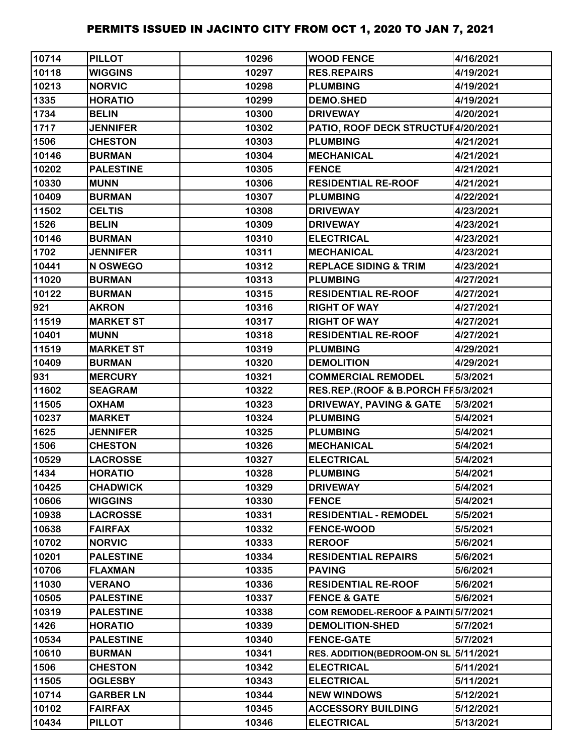| 10714 | <b>PILLOT</b>    | 10296 | <b>WOOD FENCE</b>                   | 4/16/2021 |
|-------|------------------|-------|-------------------------------------|-----------|
| 10118 | <b>WIGGINS</b>   | 10297 | <b>RES.REPAIRS</b>                  | 4/19/2021 |
| 10213 | <b>NORVIC</b>    | 10298 | <b>PLUMBING</b>                     | 4/19/2021 |
| 1335  | <b>HORATIO</b>   | 10299 | <b>DEMO.SHED</b>                    | 4/19/2021 |
| 1734  | <b>BELIN</b>     | 10300 | <b>DRIVEWAY</b>                     | 4/20/2021 |
| 1717  | <b>JENNIFER</b>  | 10302 | PATIO, ROOF DECK STRUCTUI4/20/2021  |           |
| 1506  | <b>CHESTON</b>   | 10303 | <b>PLUMBING</b>                     | 4/21/2021 |
| 10146 | <b>BURMAN</b>    | 10304 | <b>MECHANICAL</b>                   | 4/21/2021 |
| 10202 | <b>PALESTINE</b> | 10305 | <b>FENCE</b>                        | 4/21/2021 |
| 10330 | <b>MUNN</b>      | 10306 | <b>RESIDENTIAL RE-ROOF</b>          | 4/21/2021 |
| 10409 | <b>BURMAN</b>    | 10307 | <b>PLUMBING</b>                     | 4/22/2021 |
| 11502 | <b>CELTIS</b>    | 10308 | <b>DRIVEWAY</b>                     | 4/23/2021 |
| 1526  | <b>BELIN</b>     | 10309 | <b>DRIVEWAY</b>                     | 4/23/2021 |
| 10146 | <b>BURMAN</b>    | 10310 | <b>ELECTRICAL</b>                   | 4/23/2021 |
| 1702  | <b>JENNIFER</b>  | 10311 | <b>MECHANICAL</b>                   | 4/23/2021 |
| 10441 | N OSWEGO         | 10312 | <b>REPLACE SIDING &amp; TRIM</b>    | 4/23/2021 |
| 11020 | <b>BURMAN</b>    | 10313 | <b>PLUMBING</b>                     | 4/27/2021 |
| 10122 | <b>BURMAN</b>    | 10315 | <b>RESIDENTIAL RE-ROOF</b>          | 4/27/2021 |
| 921   | <b>AKRON</b>     | 10316 | <b>RIGHT OF WAY</b>                 | 4/27/2021 |
| 11519 | <b>MARKET ST</b> | 10317 | <b>RIGHT OF WAY</b>                 | 4/27/2021 |
| 10401 | <b>MUNN</b>      | 10318 | <b>RESIDENTIAL RE-ROOF</b>          | 4/27/2021 |
| 11519 | <b>MARKET ST</b> | 10319 | <b>PLUMBING</b>                     | 4/29/2021 |
| 10409 | <b>BURMAN</b>    | 10320 | <b>DEMOLITION</b>                   | 4/29/2021 |
| 931   | <b>MERCURY</b>   | 10321 | <b>COMMERCIAL REMODEL</b>           | 5/3/2021  |
| 11602 | <b>SEAGRAM</b>   | 10322 | RES.REP.(ROOF & B.PORCH FI 5/3/2021 |           |
| 11505 | <b>OXHAM</b>     | 10323 | <b>DRIVEWAY, PAVING &amp; GATE</b>  | 5/3/2021  |
| 10237 | <b>MARKET</b>    | 10324 | <b>PLUMBING</b>                     | 5/4/2021  |
| 1625  | <b>JENNIFER</b>  | 10325 | <b>PLUMBING</b>                     | 5/4/2021  |
| 1506  | <b>CHESTON</b>   | 10326 | <b>MECHANICAL</b>                   | 5/4/2021  |
| 10529 | <b>LACROSSE</b>  | 10327 | <b>ELECTRICAL</b>                   | 5/4/2021  |
| 1434  | <b>HORATIO</b>   | 10328 | <b>PLUMBING</b>                     | 5/4/2021  |
| 10425 | <b>CHADWICK</b>  | 10329 | <b>DRIVEWAY</b>                     | 5/4/2021  |
| 10606 | <b>WIGGINS</b>   | 10330 | <b>FENCE</b>                        | 5/4/2021  |
| 10938 | <b>LACROSSE</b>  | 10331 | <b>RESIDENTIAL - REMODEL</b>        | 5/5/2021  |
| 10638 | <b>FAIRFAX</b>   | 10332 | <b>FENCE-WOOD</b>                   | 5/5/2021  |
| 10702 | <b>NORVIC</b>    | 10333 | <b>REROOF</b>                       | 5/6/2021  |
| 10201 | <b>PALESTINE</b> | 10334 | <b>RESIDENTIAL REPAIRS</b>          | 5/6/2021  |
| 10706 | <b>FLAXMAN</b>   | 10335 | <b>PAVING</b>                       | 5/6/2021  |
| 11030 | <b>VERANO</b>    | 10336 | <b>RESIDENTIAL RE-ROOF</b>          | 5/6/2021  |
| 10505 | <b>PALESTINE</b> | 10337 | <b>FENCE &amp; GATE</b>             | 5/6/2021  |
| 10319 | <b>PALESTINE</b> | 10338 | COM REMODEL-REROOF & PAINT 5/7/2021 |           |
| 1426  | <b>HORATIO</b>   | 10339 | <b>DEMOLITION-SHED</b>              | 5/7/2021  |
| 10534 | <b>PALESTINE</b> | 10340 | <b>FENCE-GATE</b>                   | 5/7/2021  |
| 10610 | <b>BURMAN</b>    | 10341 | <b>RES. ADDITION(BEDROOM-ON SL</b>  | 5/11/2021 |
| 1506  | <b>CHESTON</b>   | 10342 | <b>ELECTRICAL</b>                   | 5/11/2021 |
| 11505 | <b>OGLESBY</b>   | 10343 | <b>ELECTRICAL</b>                   | 5/11/2021 |
| 10714 | <b>GARBER LN</b> | 10344 | <b>NEW WINDOWS</b>                  | 5/12/2021 |
| 10102 | <b>FAIRFAX</b>   | 10345 | <b>ACCESSORY BUILDING</b>           | 5/12/2021 |
| 10434 | <b>PILLOT</b>    | 10346 | <b>ELECTRICAL</b>                   | 5/13/2021 |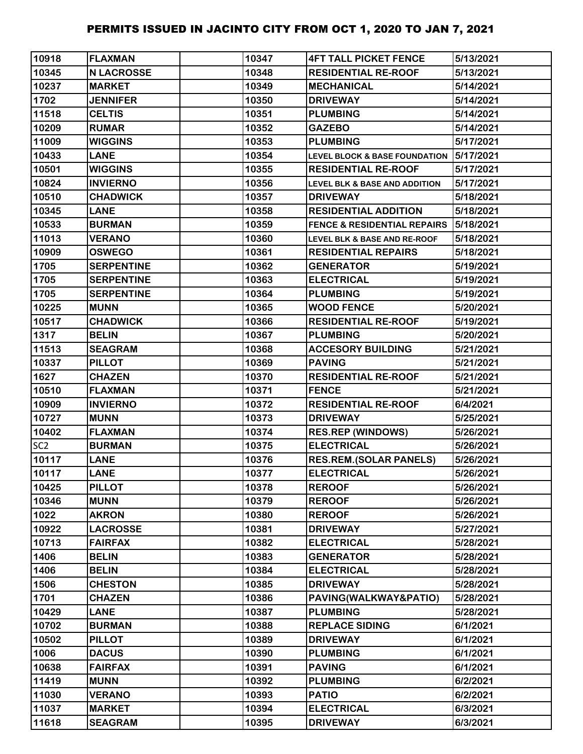| 10918           | <b>FLAXMAN</b>    | 10347 | <b>4FT TALL PICKET FENCE</b>             | 5/13/2021 |
|-----------------|-------------------|-------|------------------------------------------|-----------|
| 10345           | <b>N LACROSSE</b> | 10348 | <b>RESIDENTIAL RE-ROOF</b>               | 5/13/2021 |
| 10237           | <b>MARKET</b>     | 10349 | <b>MECHANICAL</b>                        | 5/14/2021 |
| 1702            | <b>JENNIFER</b>   | 10350 | <b>DRIVEWAY</b>                          | 5/14/2021 |
| 11518           | <b>CELTIS</b>     | 10351 | <b>PLUMBING</b>                          | 5/14/2021 |
| 10209           | <b>RUMAR</b>      | 10352 | <b>GAZEBO</b>                            | 5/14/2021 |
| 11009           | <b>WIGGINS</b>    | 10353 | <b>PLUMBING</b>                          | 5/17/2021 |
| 10433           | <b>LANE</b>       | 10354 | <b>LEVEL BLOCK &amp; BASE FOUNDATION</b> | 5/17/2021 |
| 10501           | <b>WIGGINS</b>    | 10355 | <b>RESIDENTIAL RE-ROOF</b>               | 5/17/2021 |
| 10824           | <b>INVIERNO</b>   | 10356 | <b>LEVEL BLK &amp; BASE AND ADDITION</b> | 5/17/2021 |
| 10510           | <b>CHADWICK</b>   | 10357 | <b>DRIVEWAY</b>                          | 5/18/2021 |
| 10345           | <b>LANE</b>       | 10358 | <b>RESIDENTIAL ADDITION</b>              | 5/18/2021 |
| 10533           | <b>BURMAN</b>     | 10359 | <b>FENCE &amp; RESIDENTIAL REPAIRS</b>   | 5/18/2021 |
| 11013           | <b>VERANO</b>     | 10360 | <b>LEVEL BLK &amp; BASE AND RE-ROOF</b>  | 5/18/2021 |
| 10909           | <b>OSWEGO</b>     | 10361 | <b>RESIDENTIAL REPAIRS</b>               | 5/18/2021 |
| 1705            | <b>SERPENTINE</b> | 10362 | <b>GENERATOR</b>                         | 5/19/2021 |
| 1705            | <b>SERPENTINE</b> | 10363 | <b>ELECTRICAL</b>                        | 5/19/2021 |
| 1705            | <b>SERPENTINE</b> | 10364 | <b>PLUMBING</b>                          | 5/19/2021 |
| 10225           | <b>MUNN</b>       | 10365 | <b>WOOD FENCE</b>                        | 5/20/2021 |
| 10517           | <b>CHADWICK</b>   | 10366 | <b>RESIDENTIAL RE-ROOF</b>               | 5/19/2021 |
| 1317            | <b>BELIN</b>      | 10367 | <b>PLUMBING</b>                          | 5/20/2021 |
| 11513           | <b>SEAGRAM</b>    | 10368 | <b>ACCESORY BUILDING</b>                 | 5/21/2021 |
| 10337           | <b>PILLOT</b>     | 10369 | <b>PAVING</b>                            | 5/21/2021 |
| 1627            | <b>CHAZEN</b>     | 10370 | <b>RESIDENTIAL RE-ROOF</b>               | 5/21/2021 |
| 10510           | <b>FLAXMAN</b>    | 10371 | <b>FENCE</b>                             | 5/21/2021 |
| 10909           | <b>INVIERNO</b>   | 10372 | <b>RESIDENTIAL RE-ROOF</b>               | 6/4/2021  |
| 10727           | <b>MUNN</b>       | 10373 | <b>DRIVEWAY</b>                          | 5/25/2021 |
| 10402           | <b>FLAXMAN</b>    | 10374 | <b>RES.REP (WINDOWS)</b>                 | 5/26/2021 |
| SC <sub>2</sub> | <b>BURMAN</b>     | 10375 | <b>ELECTRICAL</b>                        | 5/26/2021 |
| 10117           | <b>LANE</b>       | 10376 | <b>RES.REM.(SOLAR PANELS)</b>            | 5/26/2021 |
| 10117           | <b>LANE</b>       | 10377 | <b>ELECTRICAL</b>                        | 5/26/2021 |
| 10425           | <b>PILLOT</b>     | 10378 | <b>REROOF</b>                            | 5/26/2021 |
| 10346           | <b>MUNN</b>       | 10379 | <b>REROOF</b>                            | 5/26/2021 |
| 1022            | <b>AKRON</b>      | 10380 | <b>REROOF</b>                            | 5/26/2021 |
| 10922           | <b>LACROSSE</b>   | 10381 | <b>DRIVEWAY</b>                          | 5/27/2021 |
| 10713           | <b>FAIRFAX</b>    | 10382 | <b>ELECTRICAL</b>                        | 5/28/2021 |
| 1406            | <b>BELIN</b>      | 10383 | <b>GENERATOR</b>                         | 5/28/2021 |
| 1406            | <b>BELIN</b>      | 10384 | <b>ELECTRICAL</b>                        | 5/28/2021 |
| 1506            | <b>CHESTON</b>    | 10385 | <b>DRIVEWAY</b>                          | 5/28/2021 |
| 1701            | <b>CHAZEN</b>     | 10386 | PAVING(WALKWAY&PATIO)                    | 5/28/2021 |
| 10429           | <b>LANE</b>       | 10387 | <b>PLUMBING</b>                          | 5/28/2021 |
| 10702           | <b>BURMAN</b>     | 10388 | <b>REPLACE SIDING</b>                    | 6/1/2021  |
| 10502           | <b>PILLOT</b>     | 10389 | <b>DRIVEWAY</b>                          | 6/1/2021  |
| 1006            | <b>DACUS</b>      | 10390 | <b>PLUMBING</b>                          | 6/1/2021  |
| 10638           | <b>FAIRFAX</b>    | 10391 | <b>PAVING</b>                            | 6/1/2021  |
| 11419           | <b>MUNN</b>       | 10392 | <b>PLUMBING</b>                          | 6/2/2021  |
| 11030           | <b>VERANO</b>     | 10393 | <b>PATIO</b>                             | 6/2/2021  |
| 11037           | <b>MARKET</b>     | 10394 | <b>ELECTRICAL</b>                        | 6/3/2021  |
| 11618           | <b>SEAGRAM</b>    | 10395 | <b>DRIVEWAY</b>                          | 6/3/2021  |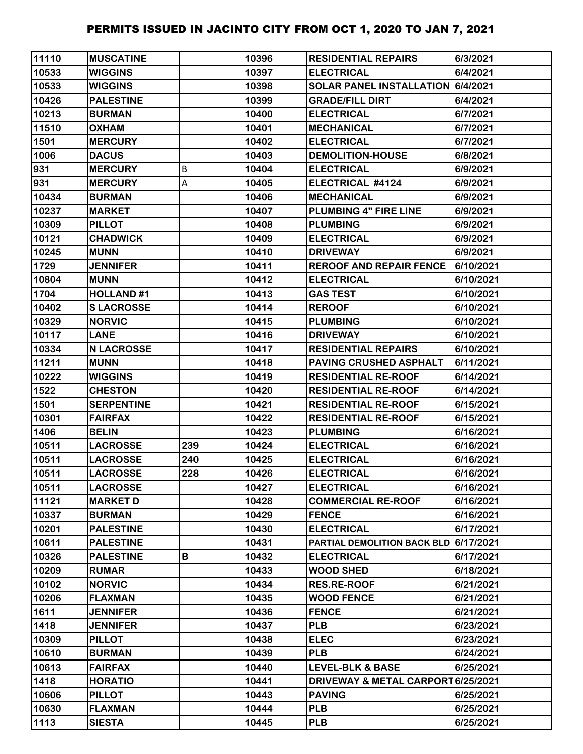| 11110 | <b>MUSCATINE</b>  |     | 10396 | <b>RESIDENTIAL REPAIRS</b>            | 6/3/2021  |
|-------|-------------------|-----|-------|---------------------------------------|-----------|
| 10533 | <b>WIGGINS</b>    |     | 10397 | <b>ELECTRICAL</b>                     | 6/4/2021  |
| 10533 | <b>WIGGINS</b>    |     | 10398 | SOLAR PANEL INSTALLATION 6/4/2021     |           |
| 10426 | <b>PALESTINE</b>  |     | 10399 | <b>GRADE/FILL DIRT</b>                | 6/4/2021  |
| 10213 | <b>BURMAN</b>     |     | 10400 | <b>ELECTRICAL</b>                     | 6/7/2021  |
| 11510 | <b>OXHAM</b>      |     | 10401 | <b>MECHANICAL</b>                     | 6/7/2021  |
| 1501  | <b>MERCURY</b>    |     | 10402 | <b>ELECTRICAL</b>                     | 6/7/2021  |
| 1006  | <b>DACUS</b>      |     | 10403 | <b>DEMOLITION-HOUSE</b>               | 6/8/2021  |
| 931   | <b>MERCURY</b>    | В   | 10404 | <b>ELECTRICAL</b>                     | 6/9/2021  |
| 931   | <b>MERCURY</b>    | А   | 10405 | ELECTRICAL #4124                      | 6/9/2021  |
| 10434 | <b>BURMAN</b>     |     | 10406 | <b>MECHANICAL</b>                     | 6/9/2021  |
| 10237 | <b>MARKET</b>     |     | 10407 | <b>PLUMBING 4" FIRE LINE</b>          | 6/9/2021  |
| 10309 | <b>PILLOT</b>     |     | 10408 | <b>PLUMBING</b>                       | 6/9/2021  |
| 10121 | <b>CHADWICK</b>   |     | 10409 | <b>ELECTRICAL</b>                     | 6/9/2021  |
| 10245 | <b>MUNN</b>       |     | 10410 | <b>DRIVEWAY</b>                       | 6/9/2021  |
| 1729  | <b>JENNIFER</b>   |     | 10411 | <b>REROOF AND REPAIR FENCE</b>        | 6/10/2021 |
| 10804 | <b>MUNN</b>       |     | 10412 | <b>ELECTRICAL</b>                     | 6/10/2021 |
| 1704  | <b>HOLLAND#1</b>  |     | 10413 | <b>GAS TEST</b>                       | 6/10/2021 |
| 10402 | <b>SLACROSSE</b>  |     | 10414 | <b>REROOF</b>                         | 6/10/2021 |
| 10329 | <b>NORVIC</b>     |     | 10415 | <b>PLUMBING</b>                       | 6/10/2021 |
| 10117 | <b>LANE</b>       |     | 10416 | <b>DRIVEWAY</b>                       | 6/10/2021 |
| 10334 | <b>N LACROSSE</b> |     | 10417 | <b>RESIDENTIAL REPAIRS</b>            | 6/10/2021 |
| 11211 | <b>MUNN</b>       |     | 10418 | PAVING CRUSHED ASPHALT                | 6/11/2021 |
| 10222 | <b>WIGGINS</b>    |     | 10419 | <b>RESIDENTIAL RE-ROOF</b>            | 6/14/2021 |
| 1522  | <b>CHESTON</b>    |     | 10420 | <b>RESIDENTIAL RE-ROOF</b>            | 6/14/2021 |
| 1501  | <b>SERPENTINE</b> |     | 10421 | <b>RESIDENTIAL RE-ROOF</b>            | 6/15/2021 |
| 10301 | <b>FAIRFAX</b>    |     | 10422 | <b>RESIDENTIAL RE-ROOF</b>            | 6/15/2021 |
| 1406  | <b>BELIN</b>      |     | 10423 | <b>PLUMBING</b>                       | 6/16/2021 |
| 10511 | <b>LACROSSE</b>   | 239 | 10424 | <b>ELECTRICAL</b>                     | 6/16/2021 |
| 10511 | <b>LACROSSE</b>   | 240 | 10425 | <b>ELECTRICAL</b>                     | 6/16/2021 |
| 10511 | <b>LACROSSE</b>   | 228 | 10426 | <b>ELECTRICAL</b>                     | 6/16/2021 |
| 10511 | <b>LACROSSE</b>   |     | 10427 | <b>ELECTRICAL</b>                     | 6/16/2021 |
| 11121 | <b>MARKET D</b>   |     | 10428 | <b>COMMERCIAL RE-ROOF</b>             | 6/16/2021 |
| 10337 | <b>BURMAN</b>     |     | 10429 | <b>FENCE</b>                          | 6/16/2021 |
| 10201 | <b>PALESTINE</b>  |     | 10430 | <b>ELECTRICAL</b>                     | 6/17/2021 |
| 10611 | <b>PALESTINE</b>  |     | 10431 | PARTIAL DEMOLITION BACK BLD 6/17/2021 |           |
| 10326 | <b>PALESTINE</b>  | В   | 10432 | <b>ELECTRICAL</b>                     | 6/17/2021 |
| 10209 | <b>RUMAR</b>      |     | 10433 | <b>WOOD SHED</b>                      | 6/18/2021 |
| 10102 | <b>NORVIC</b>     |     | 10434 | <b>RES.RE-ROOF</b>                    | 6/21/2021 |
| 10206 | <b>FLAXMAN</b>    |     | 10435 | <b>WOOD FENCE</b>                     | 6/21/2021 |
| 1611  | <b>JENNIFER</b>   |     | 10436 | <b>FENCE</b>                          | 6/21/2021 |
| 1418  | <b>JENNIFER</b>   |     | 10437 | <b>PLB</b>                            | 6/23/2021 |
| 10309 | <b>PILLOT</b>     |     | 10438 | <b>ELEC</b>                           | 6/23/2021 |
| 10610 | <b>BURMAN</b>     |     | 10439 | <b>PLB</b>                            | 6/24/2021 |
| 10613 | <b>FAIRFAX</b>    |     | 10440 | <b>LEVEL-BLK &amp; BASE</b>           | 6/25/2021 |
| 1418  | <b>HORATIO</b>    |     | 10441 | DRIVEWAY & METAL CARPORT 6/25/2021    |           |
| 10606 | <b>PILLOT</b>     |     | 10443 | <b>PAVING</b>                         | 6/25/2021 |
| 10630 | <b>FLAXMAN</b>    |     | 10444 | <b>PLB</b>                            | 6/25/2021 |
| 1113  | <b>SIESTA</b>     |     | 10445 | <b>PLB</b>                            | 6/25/2021 |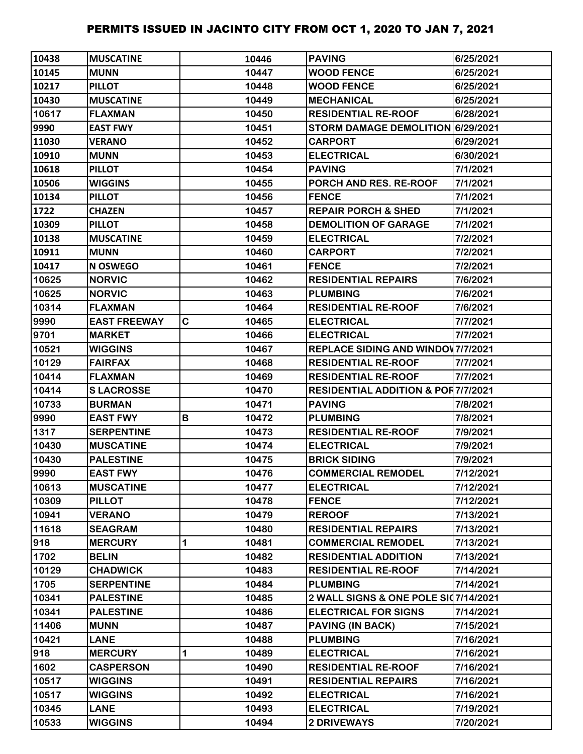| 10438 | <b>IMUSCATINE</b>   |   | 10446 | <b>PAVING</b>                                 | 6/25/2021 |
|-------|---------------------|---|-------|-----------------------------------------------|-----------|
| 10145 | <b>MUNN</b>         |   | 10447 | <b>WOOD FENCE</b>                             | 6/25/2021 |
| 10217 | <b>PILLOT</b>       |   | 10448 | <b>WOOD FENCE</b>                             | 6/25/2021 |
| 10430 | <b>MUSCATINE</b>    |   | 10449 | <b>MECHANICAL</b>                             | 6/25/2021 |
| 10617 | <b>FLAXMAN</b>      |   | 10450 | <b>RESIDENTIAL RE-ROOF</b>                    | 6/28/2021 |
| 9990  | <b>EAST FWY</b>     |   | 10451 | STORM DAMAGE DEMOLITION 6/29/2021             |           |
| 11030 | <b>VERANO</b>       |   | 10452 | <b>CARPORT</b>                                | 6/29/2021 |
| 10910 | <b>MUNN</b>         |   | 10453 | <b>ELECTRICAL</b>                             | 6/30/2021 |
| 10618 | <b>PILLOT</b>       |   | 10454 | <b>PAVING</b>                                 | 7/1/2021  |
| 10506 | <b>WIGGINS</b>      |   | 10455 | PORCH AND RES. RE-ROOF                        | 7/1/2021  |
| 10134 | <b>PILLOT</b>       |   | 10456 | <b>FENCE</b>                                  | 7/1/2021  |
| 1722  | <b>CHAZEN</b>       |   | 10457 | <b>REPAIR PORCH &amp; SHED</b>                | 7/1/2021  |
| 10309 | <b>PILLOT</b>       |   | 10458 | <b>DEMOLITION OF GARAGE</b>                   | 7/1/2021  |
| 10138 | <b>MUSCATINE</b>    |   | 10459 | <b>ELECTRICAL</b>                             | 7/2/2021  |
| 10911 | <b>MUNN</b>         |   | 10460 | <b>CARPORT</b>                                | 7/2/2021  |
| 10417 | <b>N OSWEGO</b>     |   | 10461 | <b>FENCE</b>                                  | 7/2/2021  |
| 10625 | <b>NORVIC</b>       |   | 10462 | <b>RESIDENTIAL REPAIRS</b>                    | 7/6/2021  |
| 10625 | <b>NORVIC</b>       |   | 10463 | <b>PLUMBING</b>                               | 7/6/2021  |
| 10314 | <b>FLAXMAN</b>      |   | 10464 | <b>RESIDENTIAL RE-ROOF</b>                    | 7/6/2021  |
| 9990  | <b>EAST FREEWAY</b> | C | 10465 | <b>ELECTRICAL</b>                             | 7/7/2021  |
| 9701  | <b>MARKET</b>       |   | 10466 | <b>ELECTRICAL</b>                             | 7/7/2021  |
| 10521 | <b>WIGGINS</b>      |   | 10467 | <b>REPLACE SIDING AND WINDOV 7/7/2021</b>     |           |
| 10129 | <b>FAIRFAX</b>      |   | 10468 | <b>RESIDENTIAL RE-ROOF</b>                    | 7/7/2021  |
| 10414 | <b>FLAXMAN</b>      |   | 10469 | <b>RESIDENTIAL RE-ROOF</b>                    | 7/7/2021  |
| 10414 | <b>SLACROSSE</b>    |   | 10470 | <b>RESIDENTIAL ADDITION &amp; POR7/7/2021</b> |           |
| 10733 | <b>BURMAN</b>       |   | 10471 | <b>PAVING</b>                                 | 7/8/2021  |
| 9990  | <b>EAST FWY</b>     | В | 10472 | <b>PLUMBING</b>                               | 7/8/2021  |
| 1317  | <b>SERPENTINE</b>   |   | 10473 | <b>RESIDENTIAL RE-ROOF</b>                    | 7/9/2021  |
| 10430 | <b>MUSCATINE</b>    |   | 10474 | <b>ELECTRICAL</b>                             | 7/9/2021  |
| 10430 | <b>PALESTINE</b>    |   | 10475 | <b>BRICK SIDING</b>                           | 7/9/2021  |
| 9990  | <b>EAST FWY</b>     |   | 10476 | <b>COMMERCIAL REMODEL</b>                     | 7/12/2021 |
| 10613 | <b>MUSCATINE</b>    |   | 10477 | <b>ELECTRICAL</b>                             | 7/12/2021 |
| 10309 | <b>PILLOT</b>       |   | 10478 | <b>FENCE</b>                                  | 7/12/2021 |
| 10941 | <b>VERANO</b>       |   | 10479 | <b>REROOF</b>                                 | 7/13/2021 |
| 11618 | <b>SEAGRAM</b>      |   | 10480 | <b>RESIDENTIAL REPAIRS</b>                    | 7/13/2021 |
| 918   | <b>MERCURY</b>      | 1 | 10481 | <b>COMMERCIAL REMODEL</b>                     | 7/13/2021 |
| 1702  | <b>BELIN</b>        |   | 10482 | <b>RESIDENTIAL ADDITION</b>                   | 7/13/2021 |
| 10129 | <b>CHADWICK</b>     |   | 10483 | <b>RESIDENTIAL RE-ROOF</b>                    | 7/14/2021 |
| 1705  | <b>SERPENTINE</b>   |   | 10484 | <b>PLUMBING</b>                               | 7/14/2021 |
| 10341 | <b>PALESTINE</b>    |   | 10485 | 2 WALL SIGNS & ONE POLE SI07/14/2021          |           |
| 10341 | <b>PALESTINE</b>    |   | 10486 | <b>ELECTRICAL FOR SIGNS</b>                   | 7/14/2021 |
| 11406 | <b>MUNN</b>         |   | 10487 | <b>PAVING (IN BACK)</b>                       | 7/15/2021 |
| 10421 | <b>LANE</b>         |   | 10488 | <b>PLUMBING</b>                               | 7/16/2021 |
| 918   | <b>MERCURY</b>      | 1 | 10489 | <b>ELECTRICAL</b>                             | 7/16/2021 |
| 1602  | <b>CASPERSON</b>    |   | 10490 | <b>RESIDENTIAL RE-ROOF</b>                    | 7/16/2021 |
| 10517 | <b>WIGGINS</b>      |   | 10491 | <b>RESIDENTIAL REPAIRS</b>                    | 7/16/2021 |
| 10517 | <b>WIGGINS</b>      |   | 10492 | <b>ELECTRICAL</b>                             | 7/16/2021 |
| 10345 | <b>LANE</b>         |   | 10493 | <b>ELECTRICAL</b>                             | 7/19/2021 |
| 10533 | <b>WIGGINS</b>      |   | 10494 | <b>2 DRIVEWAYS</b>                            | 7/20/2021 |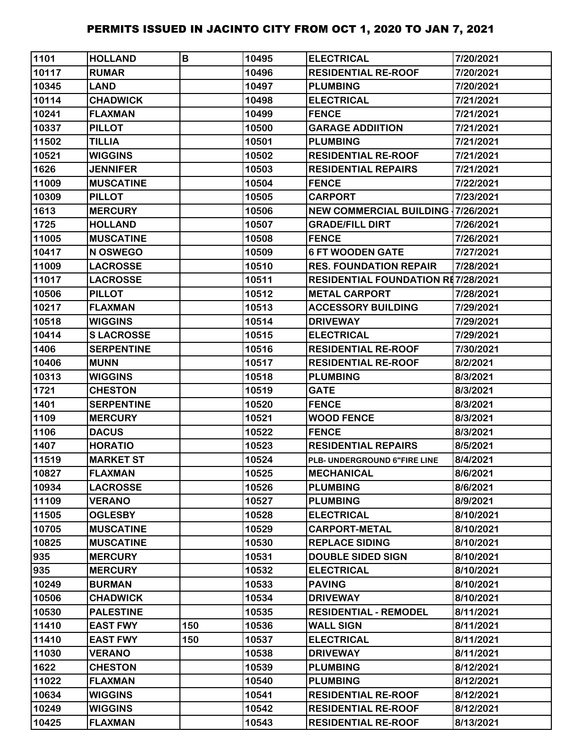| 1101  | <b>HOLLAND</b>    | B   | 10495 | <b>ELECTRICAL</b>                         | 7/20/2021 |
|-------|-------------------|-----|-------|-------------------------------------------|-----------|
| 10117 | <b>RUMAR</b>      |     | 10496 | <b>RESIDENTIAL RE-ROOF</b>                | 7/20/2021 |
| 10345 | <b>LAND</b>       |     | 10497 | <b>PLUMBING</b>                           | 7/20/2021 |
| 10114 | <b>CHADWICK</b>   |     | 10498 | <b>ELECTRICAL</b>                         | 7/21/2021 |
| 10241 | <b>FLAXMAN</b>    |     | 10499 | <b>FENCE</b>                              | 7/21/2021 |
| 10337 | <b>PILLOT</b>     |     | 10500 | <b>GARAGE ADDIITION</b>                   | 7/21/2021 |
| 11502 | <b>TILLIA</b>     |     | 10501 | <b>PLUMBING</b>                           | 7/21/2021 |
| 10521 | <b>WIGGINS</b>    |     | 10502 | <b>RESIDENTIAL RE-ROOF</b>                | 7/21/2021 |
| 1626  | <b>JENNIFER</b>   |     | 10503 | <b>RESIDENTIAL REPAIRS</b>                | 7/21/2021 |
| 11009 | <b>MUSCATINE</b>  |     | 10504 | <b>FENCE</b>                              | 7/22/2021 |
| 10309 | <b>PILLOT</b>     |     | 10505 | <b>CARPORT</b>                            | 7/23/2021 |
| 1613  | <b>MERCURY</b>    |     | 10506 | <b>NEW COMMERCIAL BUILDING 17/26/2021</b> |           |
| 1725  | <b>HOLLAND</b>    |     | 10507 | <b>GRADE/FILL DIRT</b>                    | 7/26/2021 |
| 11005 | <b>MUSCATINE</b>  |     | 10508 | <b>FENCE</b>                              | 7/26/2021 |
| 10417 | N OSWEGO          |     | 10509 | <b>6 FT WOODEN GATE</b>                   | 7/27/2021 |
| 11009 | <b>LACROSSE</b>   |     | 10510 | <b>RES. FOUNDATION REPAIR</b>             | 7/28/2021 |
| 11017 | <b>LACROSSE</b>   |     | 10511 | <b>RESIDENTIAL FOUNDATION RE7/28/2021</b> |           |
| 10506 | <b>PILLOT</b>     |     | 10512 | <b>METAL CARPORT</b>                      | 7/28/2021 |
| 10217 | <b>FLAXMAN</b>    |     | 10513 | <b>ACCESSORY BUILDING</b>                 | 7/29/2021 |
| 10518 | <b>WIGGINS</b>    |     | 10514 | <b>DRIVEWAY</b>                           | 7/29/2021 |
| 10414 | <b>SLACROSSE</b>  |     | 10515 | <b>ELECTRICAL</b>                         | 7/29/2021 |
| 1406  | <b>SERPENTINE</b> |     | 10516 | <b>RESIDENTIAL RE-ROOF</b>                | 7/30/2021 |
| 10406 | <b>MUNN</b>       |     | 10517 | <b>RESIDENTIAL RE-ROOF</b>                | 8/2/2021  |
| 10313 | <b>WIGGINS</b>    |     | 10518 | <b>PLUMBING</b>                           | 8/3/2021  |
| 1721  | <b>CHESTON</b>    |     | 10519 | GATE                                      | 8/3/2021  |
| 1401  | <b>SERPENTINE</b> |     | 10520 | <b>FENCE</b>                              | 8/3/2021  |
| 1109  | <b>MERCURY</b>    |     | 10521 | <b>WOOD FENCE</b>                         | 8/3/2021  |
| 1106  | <b>DACUS</b>      |     | 10522 | <b>FENCE</b>                              | 8/3/2021  |
| 1407  | <b>HORATIO</b>    |     | 10523 | <b>RESIDENTIAL REPAIRS</b>                | 8/5/2021  |
| 11519 | <b>MARKET ST</b>  |     | 10524 | PLB- UNDERGROUND 6"FIRE LINE              | 8/4/2021  |
| 10827 | <b>FLAXMAN</b>    |     | 10525 | <b>MECHANICAL</b>                         | 8/6/2021  |
| 10934 | <b>LACROSSE</b>   |     | 10526 | <b>PLUMBING</b>                           | 8/6/2021  |
| 11109 | <b>VERANO</b>     |     | 10527 | <b>PLUMBING</b>                           | 8/9/2021  |
| 11505 | <b>OGLESBY</b>    |     | 10528 | <b>ELECTRICAL</b>                         | 8/10/2021 |
| 10705 | <b>MUSCATINE</b>  |     | 10529 | <b>CARPORT-METAL</b>                      | 8/10/2021 |
| 10825 | <b>MUSCATINE</b>  |     | 10530 | <b>REPLACE SIDING</b>                     | 8/10/2021 |
| 935   | <b>MERCURY</b>    |     | 10531 | <b>DOUBLE SIDED SIGN</b>                  | 8/10/2021 |
| 935   | <b>MERCURY</b>    |     | 10532 | <b>ELECTRICAL</b>                         | 8/10/2021 |
| 10249 | <b>BURMAN</b>     |     | 10533 | <b>PAVING</b>                             | 8/10/2021 |
| 10506 | <b>CHADWICK</b>   |     | 10534 | <b>DRIVEWAY</b>                           | 8/10/2021 |
| 10530 | <b>PALESTINE</b>  |     | 10535 | <b>RESIDENTIAL - REMODEL</b>              | 8/11/2021 |
| 11410 | <b>EAST FWY</b>   | 150 | 10536 | <b>WALL SIGN</b>                          | 8/11/2021 |
| 11410 | <b>EAST FWY</b>   | 150 | 10537 | <b>ELECTRICAL</b>                         | 8/11/2021 |
| 11030 | <b>VERANO</b>     |     | 10538 | <b>DRIVEWAY</b>                           | 8/11/2021 |
| 1622  | <b>CHESTON</b>    |     | 10539 | <b>PLUMBING</b>                           | 8/12/2021 |
| 11022 | <b>FLAXMAN</b>    |     | 10540 | <b>PLUMBING</b>                           | 8/12/2021 |
| 10634 | <b>WIGGINS</b>    |     | 10541 | <b>RESIDENTIAL RE-ROOF</b>                | 8/12/2021 |
| 10249 | <b>WIGGINS</b>    |     | 10542 | <b>RESIDENTIAL RE-ROOF</b>                | 8/12/2021 |
| 10425 | <b>FLAXMAN</b>    |     | 10543 | <b>RESIDENTIAL RE-ROOF</b>                | 8/13/2021 |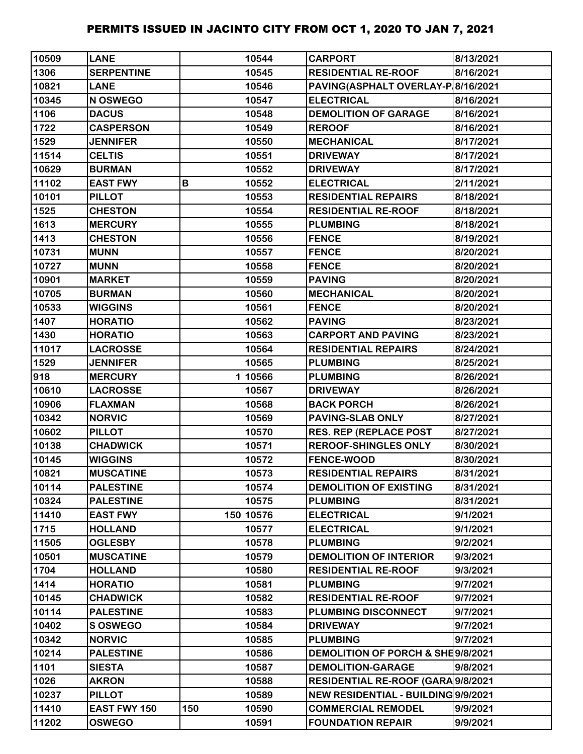| 10509 | <b>LANE</b>         |     | 10544     | <b>CARPORT</b>                      | 8/13/2021 |
|-------|---------------------|-----|-----------|-------------------------------------|-----------|
| 1306  | <b>SERPENTINE</b>   |     | 10545     | <b>RESIDENTIAL RE-ROOF</b>          | 8/16/2021 |
| 10821 | <b>LANE</b>         |     | 10546     | PAVING(ASPHALT OVERLAY-P 8/16/2021  |           |
| 10345 | N OSWEGO            |     | 10547     | <b>ELECTRICAL</b>                   | 8/16/2021 |
| 1106  | <b>DACUS</b>        |     | 10548     | <b>DEMOLITION OF GARAGE</b>         | 8/16/2021 |
| 1722  | <b>CASPERSON</b>    |     | 10549     | <b>REROOF</b>                       | 8/16/2021 |
| 1529  | <b>JENNIFER</b>     |     | 10550     | <b>MECHANICAL</b>                   | 8/17/2021 |
| 11514 | <b>CELTIS</b>       |     | 10551     | <b>DRIVEWAY</b>                     | 8/17/2021 |
| 10629 | <b>BURMAN</b>       |     | 10552     | <b>DRIVEWAY</b>                     | 8/17/2021 |
| 11102 | <b>EAST FWY</b>     | В   | 10552     | <b>ELECTRICAL</b>                   | 2/11/2021 |
| 10101 | <b>PILLOT</b>       |     | 10553     | <b>RESIDENTIAL REPAIRS</b>          | 8/18/2021 |
| 1525  | <b>CHESTON</b>      |     | 10554     | <b>RESIDENTIAL RE-ROOF</b>          | 8/18/2021 |
| 1613  | <b>MERCURY</b>      |     | 10555     | <b>PLUMBING</b>                     | 8/18/2021 |
| 1413  | <b>CHESTON</b>      |     | 10556     | <b>FENCE</b>                        | 8/19/2021 |
| 10731 | <b>MUNN</b>         |     | 10557     | <b>FENCE</b>                        | 8/20/2021 |
| 10727 | <b>MUNN</b>         |     | 10558     | <b>FENCE</b>                        | 8/20/2021 |
| 10901 | <b>MARKET</b>       |     | 10559     | <b>PAVING</b>                       | 8/20/2021 |
| 10705 | <b>BURMAN</b>       |     | 10560     | <b>MECHANICAL</b>                   | 8/20/2021 |
| 10533 | <b>WIGGINS</b>      |     | 10561     | <b>FENCE</b>                        | 8/20/2021 |
| 1407  | <b>HORATIO</b>      |     | 10562     | <b>PAVING</b>                       | 8/23/2021 |
| 1430  | <b>HORATIO</b>      |     | 10563     | <b>CARPORT AND PAVING</b>           | 8/23/2021 |
| 11017 | <b>LACROSSE</b>     |     | 10564     | <b>RESIDENTIAL REPAIRS</b>          | 8/24/2021 |
| 1529  | <b>JENNIFER</b>     |     | 10565     | <b>PLUMBING</b>                     | 8/25/2021 |
| 918   | <b>MERCURY</b>      |     | 110566    | <b>PLUMBING</b>                     | 8/26/2021 |
| 10610 | <b>LACROSSE</b>     |     | 10567     | <b>DRIVEWAY</b>                     | 8/26/2021 |
| 10906 | <b>FLAXMAN</b>      |     | 10568     | <b>BACK PORCH</b>                   | 8/26/2021 |
| 10342 | <b>NORVIC</b>       |     | 10569     | <b>PAVING-SLAB ONLY</b>             | 8/27/2021 |
| 10602 | <b>PILLOT</b>       |     | 10570     | <b>RES. REP (REPLACE POST</b>       | 8/27/2021 |
| 10138 | <b>CHADWICK</b>     |     | 10571     | <b>REROOF-SHINGLES ONLY</b>         | 8/30/2021 |
| 10145 | <b>WIGGINS</b>      |     | 10572     | <b>FENCE-WOOD</b>                   | 8/30/2021 |
| 10821 | <b>MUSCATINE</b>    |     | 10573     | <b>RESIDENTIAL REPAIRS</b>          | 8/31/2021 |
| 10114 | <b>PALESTINE</b>    |     | 10574     | <b>DEMOLITION OF EXISTING</b>       | 8/31/2021 |
| 10324 | <b>PALESTINE</b>    |     | 10575     | <b>PLUMBING</b>                     | 8/31/2021 |
| 11410 | <b>EAST FWY</b>     |     | 150 10576 | <b>ELECTRICAL</b>                   | 9/1/2021  |
| 1715  | <b>HOLLAND</b>      |     | 10577     | <b>ELECTRICAL</b>                   | 9/1/2021  |
| 11505 | <b>OGLESBY</b>      |     | 10578     | <b>PLUMBING</b>                     | 9/2/2021  |
| 10501 | <b>MUSCATINE</b>    |     | 10579     | <b>DEMOLITION OF INTERIOR</b>       | 9/3/2021  |
| 1704  | <b>HOLLAND</b>      |     | 10580     | <b>RESIDENTIAL RE-ROOF</b>          | 9/3/2021  |
| 1414  | <b>HORATIO</b>      |     | 10581     | <b>PLUMBING</b>                     | 9/7/2021  |
| 10145 | <b>CHADWICK</b>     |     | 10582     | <b>RESIDENTIAL RE-ROOF</b>          | 9/7/2021  |
| 10114 | <b>PALESTINE</b>    |     | 10583     | PLUMBING DISCONNECT                 | 9/7/2021  |
| 10402 | <b>S OSWEGO</b>     |     | 10584     | <b>DRIVEWAY</b>                     | 9/7/2021  |
| 10342 | <b>NORVIC</b>       |     | 10585     | <b>PLUMBING</b>                     | 9/7/2021  |
| 10214 | <b>PALESTINE</b>    |     | 10586     | DEMOLITION OF PORCH & SHE9/8/2021   |           |
| 1101  | <b>SIESTA</b>       |     | 10587     | <b>DEMOLITION-GARAGE</b>            | 9/8/2021  |
| 1026  | <b>AKRON</b>        |     | 10588     | RESIDENTIAL RE-ROOF (GARA 9/8/2021  |           |
| 10237 | <b>PILLOT</b>       |     | 10589     | NEW RESIDENTIAL - BUILDING 9/9/2021 |           |
| 11410 | <b>EAST FWY 150</b> | 150 | 10590     | <b>COMMERCIAL REMODEL</b>           | 9/9/2021  |
| 11202 | <b>OSWEGO</b>       |     | 10591     | <b>FOUNDATION REPAIR</b>            | 9/9/2021  |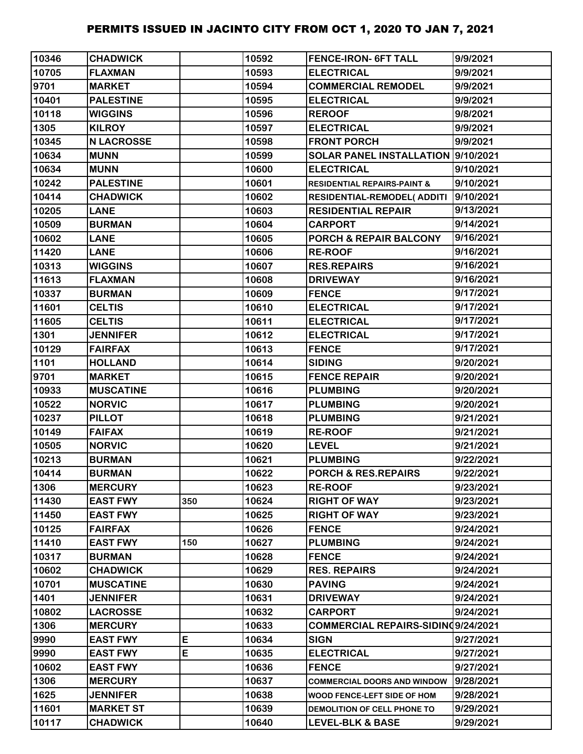| 10346 | <b>CHADWICK</b>   |     | 10592 | <b>FENCE-IRON- 6FT TALL</b>            | 9/9/2021  |
|-------|-------------------|-----|-------|----------------------------------------|-----------|
| 10705 | <b>FLAXMAN</b>    |     | 10593 | <b>ELECTRICAL</b>                      | 9/9/2021  |
| 9701  | <b>MARKET</b>     |     | 10594 | <b>COMMERCIAL REMODEL</b>              | 9/9/2021  |
| 10401 | <b>PALESTINE</b>  |     | 10595 | <b>ELECTRICAL</b>                      | 9/9/2021  |
| 10118 | <b>WIGGINS</b>    |     | 10596 | <b>REROOF</b>                          | 9/8/2021  |
| 1305  | <b>KILROY</b>     |     | 10597 | <b>ELECTRICAL</b>                      | 9/9/2021  |
| 10345 | <b>N LACROSSE</b> |     | 10598 | <b>FRONT PORCH</b>                     | 9/9/2021  |
| 10634 | <b>MUNN</b>       |     | 10599 | SOLAR PANEL INSTALLATION 9/10/2021     |           |
| 10634 | <b>MUNN</b>       |     | 10600 | <b>ELECTRICAL</b>                      | 9/10/2021 |
| 10242 | <b>PALESTINE</b>  |     | 10601 | <b>RESIDENTIAL REPAIRS-PAINT &amp;</b> | 9/10/2021 |
| 10414 | <b>CHADWICK</b>   |     | 10602 | <b>RESIDENTIAL-REMODEL( ADDITI</b>     | 9/10/2021 |
| 10205 | <b>LANE</b>       |     | 10603 | <b>RESIDENTIAL REPAIR</b>              | 9/13/2021 |
| 10509 | <b>BURMAN</b>     |     | 10604 | <b>CARPORT</b>                         | 9/14/2021 |
| 10602 | <b>LANE</b>       |     | 10605 | <b>PORCH &amp; REPAIR BALCONY</b>      | 9/16/2021 |
| 11420 | <b>LANE</b>       |     | 10606 | <b>RE-ROOF</b>                         | 9/16/2021 |
| 10313 | <b>WIGGINS</b>    |     | 10607 | <b>RES.REPAIRS</b>                     | 9/16/2021 |
| 11613 | <b>FLAXMAN</b>    |     | 10608 | <b>DRIVEWAY</b>                        | 9/16/2021 |
| 10337 | <b>BURMAN</b>     |     | 10609 | <b>FENCE</b>                           | 9/17/2021 |
| 11601 | <b>CELTIS</b>     |     | 10610 | <b>ELECTRICAL</b>                      | 9/17/2021 |
| 11605 | <b>CELTIS</b>     |     | 10611 | <b>ELECTRICAL</b>                      | 9/17/2021 |
| 1301  | <b>JENNIFER</b>   |     | 10612 | <b>ELECTRICAL</b>                      | 9/17/2021 |
| 10129 | <b>FAIRFAX</b>    |     | 10613 | <b>FENCE</b>                           | 9/17/2021 |
| 1101  | <b>HOLLAND</b>    |     | 10614 | <b>SIDING</b>                          | 9/20/2021 |
| 9701  | <b>MARKET</b>     |     | 10615 | <b>FENCE REPAIR</b>                    | 9/20/2021 |
| 10933 | <b>MUSCATINE</b>  |     | 10616 | <b>PLUMBING</b>                        | 9/20/2021 |
| 10522 | <b>NORVIC</b>     |     | 10617 | <b>PLUMBING</b>                        | 9/20/2021 |
| 10237 | <b>PILLOT</b>     |     | 10618 | <b>PLUMBING</b>                        | 9/21/2021 |
| 10149 | <b>FAIFAX</b>     |     | 10619 | <b>RE-ROOF</b>                         | 9/21/2021 |
| 10505 | <b>NORVIC</b>     |     | 10620 | <b>LEVEL</b>                           | 9/21/2021 |
| 10213 | <b>BURMAN</b>     |     | 10621 | <b>PLUMBING</b>                        | 9/22/2021 |
| 10414 | <b>BURMAN</b>     |     | 10622 | PORCH & RES.REPAIRS                    | 9/22/2021 |
| 1306  | <b>MERCURY</b>    |     | 10623 | <b>RE-ROOF</b>                         | 9/23/2021 |
| 11430 | <b>EAST FWY</b>   | 350 | 10624 | <b>RIGHT OF WAY</b>                    | 9/23/2021 |
| 11450 | <b>EAST FWY</b>   |     | 10625 | <b>RIGHT OF WAY</b>                    | 9/23/2021 |
| 10125 | <b>FAIRFAX</b>    |     | 10626 | <b>FENCE</b>                           | 9/24/2021 |
| 11410 | <b>EAST FWY</b>   | 150 | 10627 | <b>PLUMBING</b>                        | 9/24/2021 |
| 10317 | <b>BURMAN</b>     |     | 10628 | <b>FENCE</b>                           | 9/24/2021 |
| 10602 | <b>CHADWICK</b>   |     | 10629 | <b>RES. REPAIRS</b>                    | 9/24/2021 |
| 10701 | <b>MUSCATINE</b>  |     | 10630 | <b>PAVING</b>                          | 9/24/2021 |
| 1401  | <b>JENNIFER</b>   |     | 10631 | <b>DRIVEWAY</b>                        | 9/24/2021 |
| 10802 | <b>LACROSSE</b>   |     | 10632 | CARPORT                                | 9/24/2021 |
| 1306  | <b>MERCURY</b>    |     | 10633 | COMMERCIAL REPAIRS-SIDINQ9/24/2021     |           |
| 9990  | <b>EAST FWY</b>   | E   | 10634 | <b>SIGN</b>                            | 9/27/2021 |
| 9990  | <b>EAST FWY</b>   | E   | 10635 | <b>ELECTRICAL</b>                      | 9/27/2021 |
| 10602 | <b>EAST FWY</b>   |     | 10636 | <b>FENCE</b>                           | 9/27/2021 |
| 1306  | <b>MERCURY</b>    |     | 10637 | <b>COMMERCIAL DOORS AND WINDOW</b>     | 9/28/2021 |
| 1625  | <b>JENNIFER</b>   |     | 10638 | WOOD FENCE-LEFT SIDE OF HOM            | 9/28/2021 |
| 11601 | <b>MARKET ST</b>  |     | 10639 | DEMOLITION OF CELL PHONE TO            | 9/29/2021 |
| 10117 | <b>CHADWICK</b>   |     | 10640 | <b>LEVEL-BLK &amp; BASE</b>            | 9/29/2021 |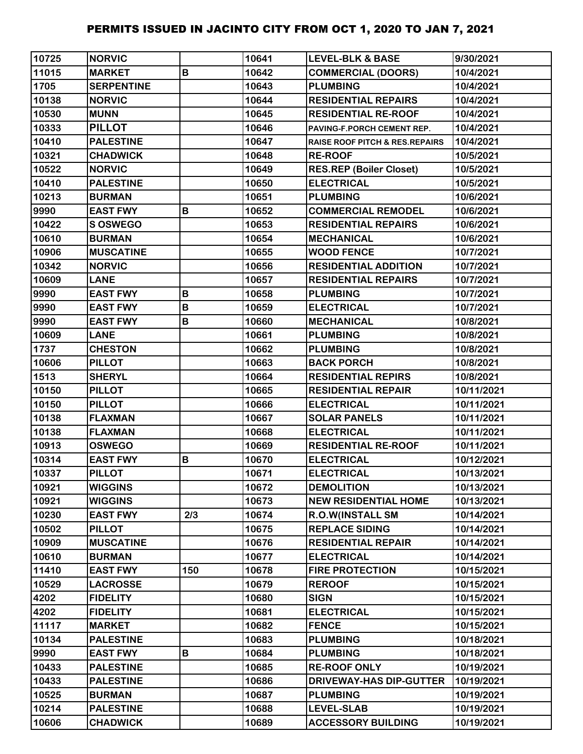| 10725 | <b>NORVIC</b>     |     | 10641 | <b>LEVEL-BLK &amp; BASE</b>               | 9/30/2021  |
|-------|-------------------|-----|-------|-------------------------------------------|------------|
| 11015 | <b>MARKET</b>     | B   | 10642 | <b>COMMERCIAL (DOORS)</b>                 | 10/4/2021  |
| 1705  | <b>SERPENTINE</b> |     | 10643 | <b>PLUMBING</b>                           | 10/4/2021  |
| 10138 | <b>NORVIC</b>     |     | 10644 | <b>RESIDENTIAL REPAIRS</b>                | 10/4/2021  |
| 10530 | <b>MUNN</b>       |     | 10645 | <b>RESIDENTIAL RE-ROOF</b>                | 10/4/2021  |
| 10333 | <b>PILLOT</b>     |     | 10646 | PAVING-F.PORCH CEMENT REP.                | 10/4/2021  |
| 10410 | <b>PALESTINE</b>  |     | 10647 | <b>RAISE ROOF PITCH &amp; RES.REPAIRS</b> | 10/4/2021  |
| 10321 | <b>CHADWICK</b>   |     | 10648 | <b>RE-ROOF</b>                            | 10/5/2021  |
| 10522 | <b>NORVIC</b>     |     | 10649 | <b>RES.REP (Boiler Closet)</b>            | 10/5/2021  |
| 10410 | <b>PALESTINE</b>  |     | 10650 | <b>ELECTRICAL</b>                         | 10/5/2021  |
| 10213 | <b>BURMAN</b>     |     | 10651 | <b>PLUMBING</b>                           | 10/6/2021  |
| 9990  | <b>EAST FWY</b>   | B   | 10652 | <b>COMMERCIAL REMODEL</b>                 | 10/6/2021  |
| 10422 | <b>S OSWEGO</b>   |     | 10653 | <b>RESIDENTIAL REPAIRS</b>                | 10/6/2021  |
| 10610 | <b>BURMAN</b>     |     | 10654 | <b>MECHANICAL</b>                         | 10/6/2021  |
| 10906 | <b>MUSCATINE</b>  |     | 10655 | <b>WOOD FENCE</b>                         | 10/7/2021  |
| 10342 | <b>NORVIC</b>     |     | 10656 | <b>RESIDENTIAL ADDITION</b>               | 10/7/2021  |
| 10609 | <b>LANE</b>       |     | 10657 | <b>RESIDENTIAL REPAIRS</b>                | 10/7/2021  |
| 9990  | <b>EAST FWY</b>   | B   | 10658 | <b>PLUMBING</b>                           | 10/7/2021  |
| 9990  | <b>EAST FWY</b>   | B   | 10659 | <b>ELECTRICAL</b>                         | 10/7/2021  |
| 9990  | <b>EAST FWY</b>   | B   | 10660 | <b>MECHANICAL</b>                         | 10/8/2021  |
| 10609 | <b>LANE</b>       |     | 10661 | <b>PLUMBING</b>                           | 10/8/2021  |
| 1737  | <b>CHESTON</b>    |     | 10662 | <b>PLUMBING</b>                           | 10/8/2021  |
| 10606 | <b>PILLOT</b>     |     | 10663 | <b>BACK PORCH</b>                         | 10/8/2021  |
| 1513  | <b>SHERYL</b>     |     | 10664 | <b>RESIDENTIAL REPIRS</b>                 | 10/8/2021  |
| 10150 | <b>PILLOT</b>     |     | 10665 | <b>RESIDENTIAL REPAIR</b>                 | 10/11/2021 |
| 10150 | <b>PILLOT</b>     |     | 10666 | <b>ELECTRICAL</b>                         | 10/11/2021 |
| 10138 | <b>FLAXMAN</b>    |     | 10667 | <b>SOLAR PANELS</b>                       | 10/11/2021 |
| 10138 | <b>FLAXMAN</b>    |     | 10668 | <b>ELECTRICAL</b>                         | 10/11/2021 |
| 10913 | <b>OSWEGO</b>     |     | 10669 | <b>RESIDENTIAL RE-ROOF</b>                | 10/11/2021 |
| 10314 | <b>EAST FWY</b>   | B   | 10670 | <b>ELECTRICAL</b>                         | 10/12/2021 |
| 10337 | <b>PILLOT</b>     |     | 10671 | <b>ELECTRICAL</b>                         | 10/13/2021 |
| 10921 | <b>WIGGINS</b>    |     | 10672 | <b>DEMOLITION</b>                         | 10/13/2021 |
| 10921 | <b>WIGGINS</b>    |     | 10673 | <b>NEW RESIDENTIAL HOME</b>               | 10/13/2021 |
| 10230 | <b>EAST FWY</b>   | 2/3 | 10674 | <b>R.O.W(INSTALL SM</b>                   | 10/14/2021 |
| 10502 | <b>PILLOT</b>     |     | 10675 | <b>REPLACE SIDING</b>                     | 10/14/2021 |
| 10909 | <b>MUSCATINE</b>  |     | 10676 | <b>RESIDENTIAL REPAIR</b>                 | 10/14/2021 |
| 10610 | <b>BURMAN</b>     |     | 10677 | <b>ELECTRICAL</b>                         | 10/14/2021 |
| 11410 | <b>EAST FWY</b>   | 150 | 10678 | <b>FIRE PROTECTION</b>                    | 10/15/2021 |
| 10529 | <b>LACROSSE</b>   |     | 10679 | <b>REROOF</b>                             | 10/15/2021 |
| 4202  | <b>FIDELITY</b>   |     | 10680 | <b>SIGN</b>                               | 10/15/2021 |
| 4202  | <b>FIDELITY</b>   |     | 10681 | <b>ELECTRICAL</b>                         | 10/15/2021 |
| 11117 | <b>MARKET</b>     |     | 10682 | <b>FENCE</b>                              | 10/15/2021 |
| 10134 | <b>PALESTINE</b>  |     | 10683 | <b>PLUMBING</b>                           | 10/18/2021 |
| 9990  | <b>EAST FWY</b>   | B   | 10684 | <b>PLUMBING</b>                           | 10/18/2021 |
| 10433 | <b>PALESTINE</b>  |     | 10685 | <b>RE-ROOF ONLY</b>                       | 10/19/2021 |
| 10433 | <b>PALESTINE</b>  |     | 10686 | <b>DRIVEWAY-HAS DIP-GUTTER</b>            | 10/19/2021 |
| 10525 | <b>BURMAN</b>     |     | 10687 | <b>PLUMBING</b>                           | 10/19/2021 |
| 10214 | <b>PALESTINE</b>  |     | 10688 | <b>LEVEL-SLAB</b>                         | 10/19/2021 |
| 10606 | <b>CHADWICK</b>   |     | 10689 | <b>ACCESSORY BUILDING</b>                 | 10/19/2021 |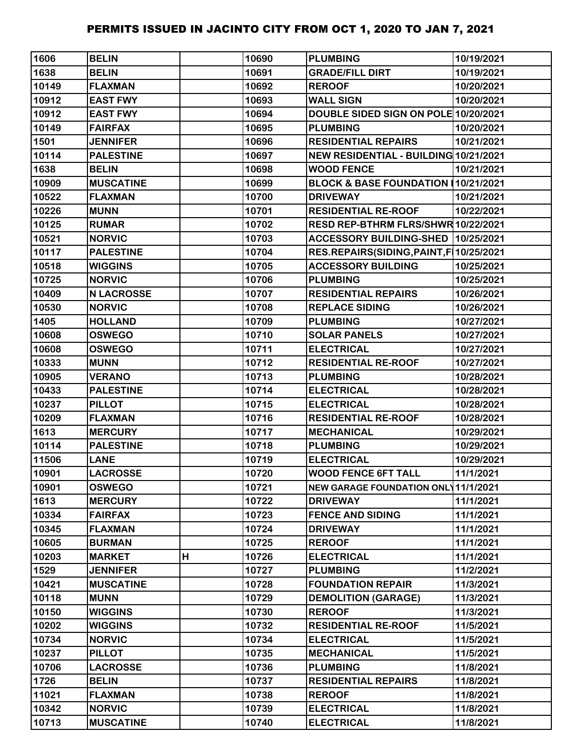| 1606  | <b>BELIN</b>      |   | 10690 | <b>PLUMBING</b>                            | 10/19/2021 |
|-------|-------------------|---|-------|--------------------------------------------|------------|
| 1638  | <b>BELIN</b>      |   | 10691 | <b>GRADE/FILL DIRT</b>                     | 10/19/2021 |
| 10149 | <b>FLAXMAN</b>    |   | 10692 | <b>REROOF</b>                              | 10/20/2021 |
| 10912 | <b>EAST FWY</b>   |   | 10693 | <b>WALL SIGN</b>                           | 10/20/2021 |
| 10912 | <b>EAST FWY</b>   |   | 10694 | DOUBLE SIDED SIGN ON POLE 10/20/2021       |            |
| 10149 | <b>FAIRFAX</b>    |   | 10695 | <b>PLUMBING</b>                            | 10/20/2021 |
| 1501  | <b>JENNIFER</b>   |   | 10696 | <b>RESIDENTIAL REPAIRS</b>                 | 10/21/2021 |
| 10114 | <b>PALESTINE</b>  |   | 10697 | NEW RESIDENTIAL - BUILDING 10/21/2021      |            |
| 1638  | <b>BELIN</b>      |   | 10698 | <b>WOOD FENCE</b>                          | 10/21/2021 |
| 10909 | <b>MUSCATINE</b>  |   | 10699 | BLOCK & BASE FOUNDATION 10/21/2021         |            |
| 10522 | <b>FLAXMAN</b>    |   | 10700 | <b>DRIVEWAY</b>                            | 10/21/2021 |
| 10226 | <b>MUNN</b>       |   | 10701 | <b>RESIDENTIAL RE-ROOF</b>                 | 10/22/2021 |
| 10125 | <b>RUMAR</b>      |   | 10702 | RESD REP-BTHRM FLRS/SHWR 10/22/2021        |            |
| 10521 | <b>NORVIC</b>     |   | 10703 | ACCESSORY BUILDING-SHED 10/25/2021         |            |
| 10117 | <b>PALESTINE</b>  |   | 10704 | RES.REPAIRS(SIDING, PAINT, F   10/25/2021  |            |
| 10518 | <b>WIGGINS</b>    |   | 10705 | <b>ACCESSORY BUILDING</b>                  | 10/25/2021 |
| 10725 | <b>NORVIC</b>     |   | 10706 | <b>PLUMBING</b>                            | 10/25/2021 |
| 10409 | <b>N LACROSSE</b> |   | 10707 | <b>RESIDENTIAL REPAIRS</b>                 | 10/26/2021 |
| 10530 | <b>NORVIC</b>     |   | 10708 | <b>REPLACE SIDING</b>                      | 10/26/2021 |
| 1405  | <b>HOLLAND</b>    |   | 10709 | <b>PLUMBING</b>                            | 10/27/2021 |
| 10608 | <b>OSWEGO</b>     |   | 10710 | <b>SOLAR PANELS</b>                        | 10/27/2021 |
| 10608 | <b>OSWEGO</b>     |   | 10711 | <b>ELECTRICAL</b>                          | 10/27/2021 |
| 10333 | <b>MUNN</b>       |   | 10712 | <b>RESIDENTIAL RE-ROOF</b>                 | 10/27/2021 |
| 10905 | <b>VERANO</b>     |   | 10713 | <b>PLUMBING</b>                            | 10/28/2021 |
| 10433 | <b>PALESTINE</b>  |   | 10714 | <b>ELECTRICAL</b>                          | 10/28/2021 |
| 10237 | <b>PILLOT</b>     |   | 10715 | <b>ELECTRICAL</b>                          | 10/28/2021 |
| 10209 | <b>FLAXMAN</b>    |   | 10716 | <b>RESIDENTIAL RE-ROOF</b>                 | 10/28/2021 |
| 1613  | <b>MERCURY</b>    |   | 10717 | <b>MECHANICAL</b>                          | 10/29/2021 |
| 10114 | <b>PALESTINE</b>  |   | 10718 | <b>PLUMBING</b>                            | 10/29/2021 |
| 11506 | <b>LANE</b>       |   | 10719 | <b>ELECTRICAL</b>                          | 10/29/2021 |
| 10901 | <b>LACROSSE</b>   |   | 10720 | <b>WOOD FENCE 6FT TALL</b>                 | 11/1/2021  |
| 10901 | <b>OSWEGO</b>     |   | 10721 | <b>NEW GARAGE FOUNDATION ONL 11/1/2021</b> |            |
| 1613  | <b>MERCURY</b>    |   | 10722 | <b>DRIVEWAY</b>                            | 11/1/2021  |
| 10334 | <b>FAIRFAX</b>    |   | 10723 | <b>FENCE AND SIDING</b>                    | 11/1/2021  |
| 10345 | <b>FLAXMAN</b>    |   | 10724 | <b>DRIVEWAY</b>                            | 11/1/2021  |
| 10605 | <b>BURMAN</b>     |   | 10725 | <b>REROOF</b>                              | 11/1/2021  |
| 10203 | <b>MARKET</b>     | Н | 10726 | <b>ELECTRICAL</b>                          | 11/1/2021  |
| 1529  | <b>JENNIFER</b>   |   | 10727 | <b>PLUMBING</b>                            | 11/2/2021  |
| 10421 | <b>MUSCATINE</b>  |   | 10728 | <b>FOUNDATION REPAIR</b>                   | 11/3/2021  |
| 10118 | <b>MUNN</b>       |   | 10729 | <b>DEMOLITION (GARAGE)</b>                 | 11/3/2021  |
| 10150 | <b>WIGGINS</b>    |   | 10730 | <b>REROOF</b>                              | 11/3/2021  |
| 10202 | <b>WIGGINS</b>    |   | 10732 | <b>RESIDENTIAL RE-ROOF</b>                 | 11/5/2021  |
| 10734 | <b>NORVIC</b>     |   | 10734 | <b>ELECTRICAL</b>                          | 11/5/2021  |
| 10237 | <b>PILLOT</b>     |   | 10735 | <b>MECHANICAL</b>                          | 11/5/2021  |
| 10706 | <b>LACROSSE</b>   |   | 10736 | <b>PLUMBING</b>                            | 11/8/2021  |
| 1726  | <b>BELIN</b>      |   | 10737 | <b>RESIDENTIAL REPAIRS</b>                 | 11/8/2021  |
| 11021 | <b>FLAXMAN</b>    |   | 10738 | <b>REROOF</b>                              | 11/8/2021  |
| 10342 | <b>NORVIC</b>     |   | 10739 | <b>ELECTRICAL</b>                          | 11/8/2021  |
| 10713 | <b>MUSCATINE</b>  |   | 10740 | <b>ELECTRICAL</b>                          | 11/8/2021  |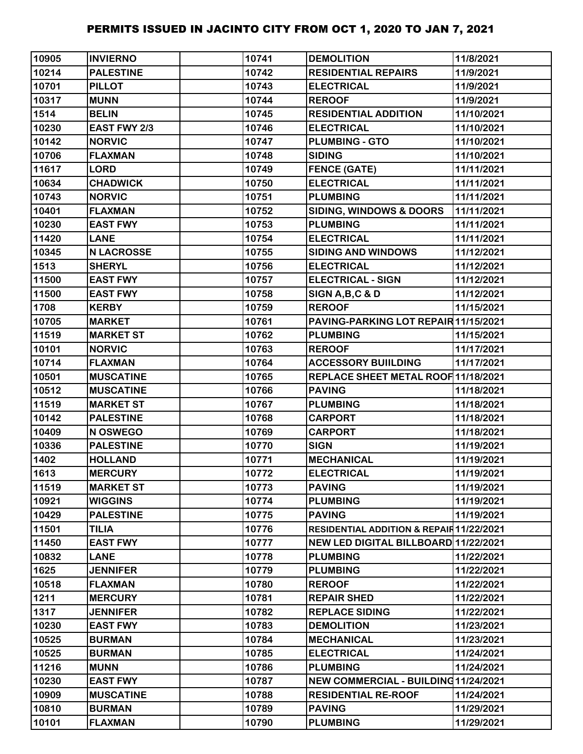| 10905 | <b>INVIERNO</b>   | 10741 | <b>DEMOLITION</b>                        | 11/8/2021  |
|-------|-------------------|-------|------------------------------------------|------------|
| 10214 | <b>PALESTINE</b>  | 10742 | <b>RESIDENTIAL REPAIRS</b>               | 11/9/2021  |
| 10701 | <b>PILLOT</b>     | 10743 | <b>ELECTRICAL</b>                        | 11/9/2021  |
| 10317 | <b>MUNN</b>       | 10744 | <b>REROOF</b>                            | 11/9/2021  |
| 1514  | <b>BELIN</b>      | 10745 | <b>RESIDENTIAL ADDITION</b>              | 11/10/2021 |
| 10230 | EAST FWY 2/3      | 10746 | <b>ELECTRICAL</b>                        | 11/10/2021 |
| 10142 | <b>NORVIC</b>     | 10747 | <b>PLUMBING - GTO</b>                    | 11/10/2021 |
| 10706 | <b>FLAXMAN</b>    | 10748 | <b>SIDING</b>                            | 11/10/2021 |
| 11617 | <b>LORD</b>       | 10749 | <b>FENCE (GATE)</b>                      | 11/11/2021 |
| 10634 | <b>CHADWICK</b>   | 10750 | <b>ELECTRICAL</b>                        | 11/11/2021 |
| 10743 | <b>NORVIC</b>     | 10751 | <b>PLUMBING</b>                          | 11/11/2021 |
| 10401 | <b>FLAXMAN</b>    | 10752 | <b>SIDING, WINDOWS &amp; DOORS</b>       | 11/11/2021 |
| 10230 | <b>EAST FWY</b>   | 10753 | <b>PLUMBING</b>                          | 11/11/2021 |
| 11420 | <b>LANE</b>       | 10754 | <b>ELECTRICAL</b>                        | 11/11/2021 |
| 10345 | <b>N LACROSSE</b> | 10755 | <b>SIDING AND WINDOWS</b>                | 11/12/2021 |
| 1513  | <b>SHERYL</b>     | 10756 | <b>ELECTRICAL</b>                        | 11/12/2021 |
| 11500 | <b>EAST FWY</b>   | 10757 | <b>ELECTRICAL - SIGN</b>                 | 11/12/2021 |
| 11500 | <b>EAST FWY</b>   | 10758 | SIGN A, B, C & D                         | 11/12/2021 |
| 1708  | <b>KERBY</b>      | 10759 | <b>REROOF</b>                            | 11/15/2021 |
| 10705 | <b>MARKET</b>     | 10761 | PAVING-PARKING LOT REPAIR 11/15/2021     |            |
| 11519 | <b>MARKET ST</b>  | 10762 | <b>PLUMBING</b>                          | 11/15/2021 |
| 10101 | <b>NORVIC</b>     | 10763 | <b>REROOF</b>                            | 11/17/2021 |
| 10714 | <b>FLAXMAN</b>    | 10764 | <b>ACCESSORY BUIILDING</b>               | 11/17/2021 |
| 10501 | <b>MUSCATINE</b>  | 10765 | REPLACE SHEET METAL ROOF 11/18/2021      |            |
| 10512 | <b>MUSCATINE</b>  | 10766 | <b>PAVING</b>                            | 11/18/2021 |
| 11519 | <b>MARKET ST</b>  | 10767 | <b>PLUMBING</b>                          | 11/18/2021 |
| 10142 | <b>PALESTINE</b>  | 10768 | <b>CARPORT</b>                           | 11/18/2021 |
| 10409 | N OSWEGO          | 10769 | <b>CARPORT</b>                           | 11/18/2021 |
| 10336 | <b>PALESTINE</b>  | 10770 | <b>SIGN</b>                              | 11/19/2021 |
| 1402  | <b>HOLLAND</b>    | 10771 | <b>MECHANICAL</b>                        | 11/19/2021 |
| 1613  | <b>MERCURY</b>    | 10772 | <b>ELECTRICAL</b>                        | 11/19/2021 |
| 11519 | <b>MARKET ST</b>  | 10773 | <b>PAVING</b>                            | 11/19/2021 |
| 10921 | <b>WIGGINS</b>    | 10774 | <b>PLUMBING</b>                          | 11/19/2021 |
| 10429 | <b>PALESTINE</b>  | 10775 | <b>PAVING</b>                            | 11/19/2021 |
| 11501 | <b>TILIA</b>      | 10776 | RESIDENTIAL ADDITION & REPAIR 11/22/2021 |            |
| 11450 | <b>EAST FWY</b>   | 10777 | NEW LED DIGITAL BILLBOARD 11/22/2021     |            |
| 10832 | <b>LANE</b>       | 10778 | <b>PLUMBING</b>                          | 11/22/2021 |
| 1625  | <b>JENNIFER</b>   | 10779 | <b>PLUMBING</b>                          | 11/22/2021 |
| 10518 | <b>FLAXMAN</b>    | 10780 | <b>REROOF</b>                            | 11/22/2021 |
| 1211  | <b>MERCURY</b>    | 10781 | <b>REPAIR SHED</b>                       | 11/22/2021 |
| 1317  | <b>JENNIFER</b>   | 10782 | <b>REPLACE SIDING</b>                    | 11/22/2021 |
| 10230 | <b>EAST FWY</b>   | 10783 | <b>DEMOLITION</b>                        | 11/23/2021 |
| 10525 | <b>BURMAN</b>     | 10784 | <b>MECHANICAL</b>                        | 11/23/2021 |
| 10525 | <b>BURMAN</b>     | 10785 | <b>ELECTRICAL</b>                        | 11/24/2021 |
| 11216 | <b>MUNN</b>       | 10786 | <b>PLUMBING</b>                          | 11/24/2021 |
| 10230 | <b>EAST FWY</b>   | 10787 | NEW COMMERCIAL - BUILDING 11/24/2021     |            |
| 10909 | <b>MUSCATINE</b>  | 10788 | <b>RESIDENTIAL RE-ROOF</b>               | 11/24/2021 |
| 10810 | <b>BURMAN</b>     | 10789 | <b>PAVING</b>                            | 11/29/2021 |
| 10101 | <b>FLAXMAN</b>    | 10790 | <b>PLUMBING</b>                          | 11/29/2021 |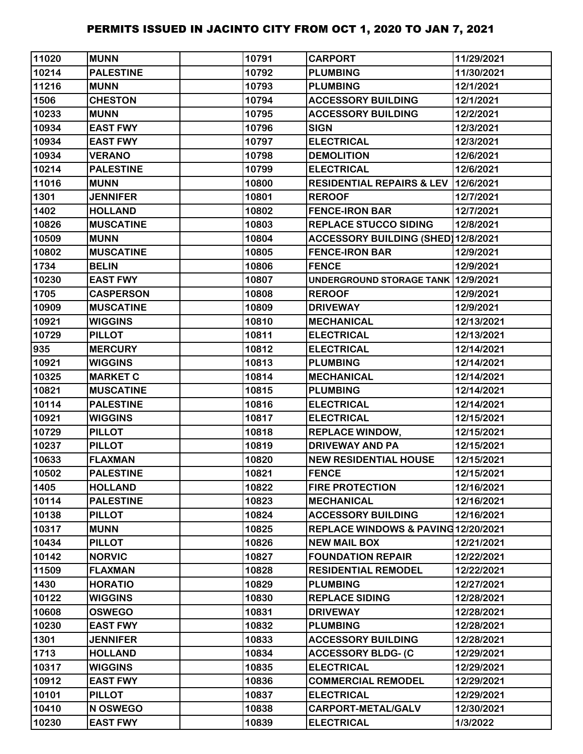| 11020 | <b>MUNN</b>      | 10791 | <b>CARPORT</b>                        | 11/29/2021 |
|-------|------------------|-------|---------------------------------------|------------|
| 10214 | <b>PALESTINE</b> | 10792 | <b>PLUMBING</b>                       | 11/30/2021 |
| 11216 | <b>MUNN</b>      | 10793 | <b>PLUMBING</b>                       | 12/1/2021  |
| 1506  | <b>CHESTON</b>   | 10794 | <b>ACCESSORY BUILDING</b>             | 12/1/2021  |
| 10233 | <b>MUNN</b>      | 10795 | <b>ACCESSORY BUILDING</b>             | 12/2/2021  |
| 10934 | <b>EAST FWY</b>  | 10796 | <b>SIGN</b>                           | 12/3/2021  |
| 10934 | <b>EAST FWY</b>  | 10797 | <b>ELECTRICAL</b>                     | 12/3/2021  |
| 10934 | <b>VERANO</b>    | 10798 | <b>DEMOLITION</b>                     | 12/6/2021  |
| 10214 | <b>PALESTINE</b> | 10799 | <b>ELECTRICAL</b>                     | 12/6/2021  |
| 11016 | <b>MUNN</b>      | 10800 | RESIDENTIAL REPAIRS & LEV   12/6/2021 |            |
| 1301  | <b>JENNIFER</b>  | 10801 | <b>REROOF</b>                         | 12/7/2021  |
| 1402  | <b>HOLLAND</b>   | 10802 | <b>FENCE-IRON BAR</b>                 | 12/7/2021  |
| 10826 | <b>MUSCATINE</b> | 10803 | <b>REPLACE STUCCO SIDING</b>          | 12/8/2021  |
| 10509 | <b>MUNN</b>      | 10804 | ACCESSORY BUILDING (SHED) 12/8/2021   |            |
| 10802 | <b>MUSCATINE</b> | 10805 | <b>FENCE-IRON BAR</b>                 | 12/9/2021  |
| 1734  | <b>BELIN</b>     | 10806 | <b>FENCE</b>                          | 12/9/2021  |
| 10230 | <b>EAST FWY</b>  | 10807 | UNDERGROUND STORAGE TANK 12/9/2021    |            |
| 1705  | <b>CASPERSON</b> | 10808 | <b>REROOF</b>                         | 12/9/2021  |
| 10909 | <b>MUSCATINE</b> | 10809 | <b>DRIVEWAY</b>                       | 12/9/2021  |
| 10921 | <b>WIGGINS</b>   | 10810 | <b>MECHANICAL</b>                     | 12/13/2021 |
| 10729 | <b>PILLOT</b>    | 10811 | <b>ELECTRICAL</b>                     | 12/13/2021 |
| 935   | <b>MERCURY</b>   | 10812 | <b>ELECTRICAL</b>                     | 12/14/2021 |
| 10921 | <b>WIGGINS</b>   | 10813 | <b>PLUMBING</b>                       | 12/14/2021 |
| 10325 | <b>MARKET C</b>  | 10814 | <b>MECHANICAL</b>                     | 12/14/2021 |
| 10821 | <b>MUSCATINE</b> | 10815 | <b>PLUMBING</b>                       | 12/14/2021 |
| 10114 | <b>PALESTINE</b> | 10816 | <b>ELECTRICAL</b>                     | 12/14/2021 |
| 10921 | <b>WIGGINS</b>   | 10817 | <b>ELECTRICAL</b>                     | 12/15/2021 |
| 10729 | <b>PILLOT</b>    | 10818 | <b>REPLACE WINDOW,</b>                | 12/15/2021 |
| 10237 | <b>PILLOT</b>    | 10819 | <b>DRIVEWAY AND PA</b>                | 12/15/2021 |
| 10633 | <b>FLAXMAN</b>   | 10820 | <b>NEW RESIDENTIAL HOUSE</b>          | 12/15/2021 |
| 10502 | <b>PALESTINE</b> | 10821 | <b>FENCE</b>                          | 12/15/2021 |
| 1405  | <b>HOLLAND</b>   | 10822 | <b>FIRE PROTECTION</b>                | 12/16/2021 |
| 10114 | <b>PALESTINE</b> | 10823 | <b>MECHANICAL</b>                     | 12/16/2021 |
| 10138 | <b>PILLOT</b>    | 10824 | <b>ACCESSORY BUILDING</b>             | 12/16/2021 |
| 10317 | <b>MUNN</b>      | 10825 | REPLACE WINDOWS & PAVING12/20/2021    |            |
| 10434 | <b>PILLOT</b>    | 10826 | <b>NEW MAIL BOX</b>                   | 12/21/2021 |
| 10142 | <b>NORVIC</b>    | 10827 | <b>FOUNDATION REPAIR</b>              | 12/22/2021 |
| 11509 | <b>FLAXMAN</b>   | 10828 | <b>RESIDENTIAL REMODEL</b>            | 12/22/2021 |
| 1430  | <b>HORATIO</b>   | 10829 | <b>PLUMBING</b>                       | 12/27/2021 |
| 10122 | <b>WIGGINS</b>   | 10830 | <b>REPLACE SIDING</b>                 | 12/28/2021 |
| 10608 | <b>OSWEGO</b>    | 10831 | <b>DRIVEWAY</b>                       | 12/28/2021 |
| 10230 | <b>EAST FWY</b>  | 10832 | <b>PLUMBING</b>                       | 12/28/2021 |
| 1301  | <b>JENNIFER</b>  | 10833 | <b>ACCESSORY BUILDING</b>             | 12/28/2021 |
| 1713  | <b>HOLLAND</b>   | 10834 | <b>ACCESSORY BLDG- (C</b>             | 12/29/2021 |
| 10317 | <b>WIGGINS</b>   | 10835 | <b>ELECTRICAL</b>                     | 12/29/2021 |
| 10912 | <b>EAST FWY</b>  | 10836 | <b>COMMERCIAL REMODEL</b>             | 12/29/2021 |
| 10101 | <b>PILLOT</b>    | 10837 | <b>ELECTRICAL</b>                     | 12/29/2021 |
| 10410 | N OSWEGO         | 10838 | <b>CARPORT-METAL/GALV</b>             | 12/30/2021 |
| 10230 | <b>EAST FWY</b>  | 10839 | <b>ELECTRICAL</b>                     | 1/3/2022   |